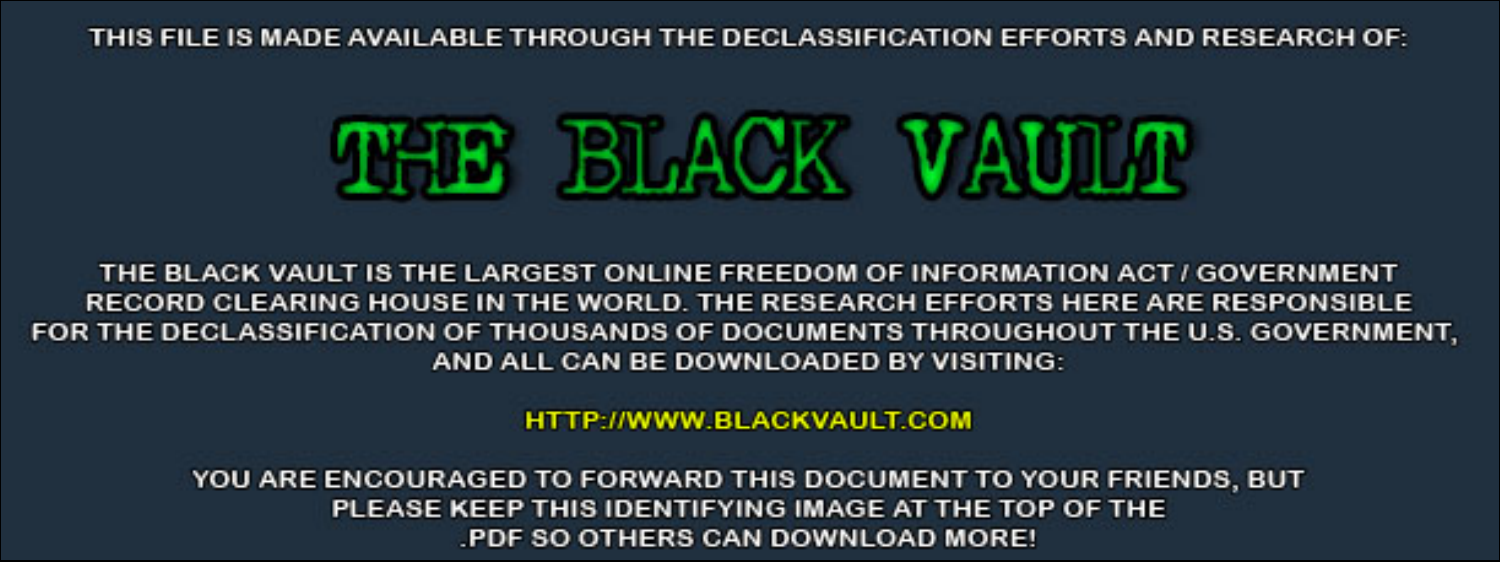THIS FILE IS MADE AVAILABLE THROUGH THE DECLASSIFICATION EFFORTS AND RESEARCH OF:



THE BLACK VAULT IS THE LARGEST ONLINE FREEDOM OF INFORMATION ACT / GOVERNMENT RECORD CLEARING HOUSE IN THE WORLD. THE RESEARCH EFFORTS HERE ARE RESPONSIBLE FOR THE DECLASSIFICATION OF THOUSANDS OF DOCUMENTS THROUGHOUT THE U.S. GOVERNMENT, AND ALL CAN BE DOWNLOADED BY VISITING:

**HTTP://WWW.BLACKVAULT.COM** 

YOU ARE ENCOURAGED TO FORWARD THIS DOCUMENT TO YOUR FRIENDS, BUT PLEASE KEEP THIS IDENTIFYING IMAGE AT THE TOP OF THE PDF SO OTHERS CAN DOWNLOAD MORE!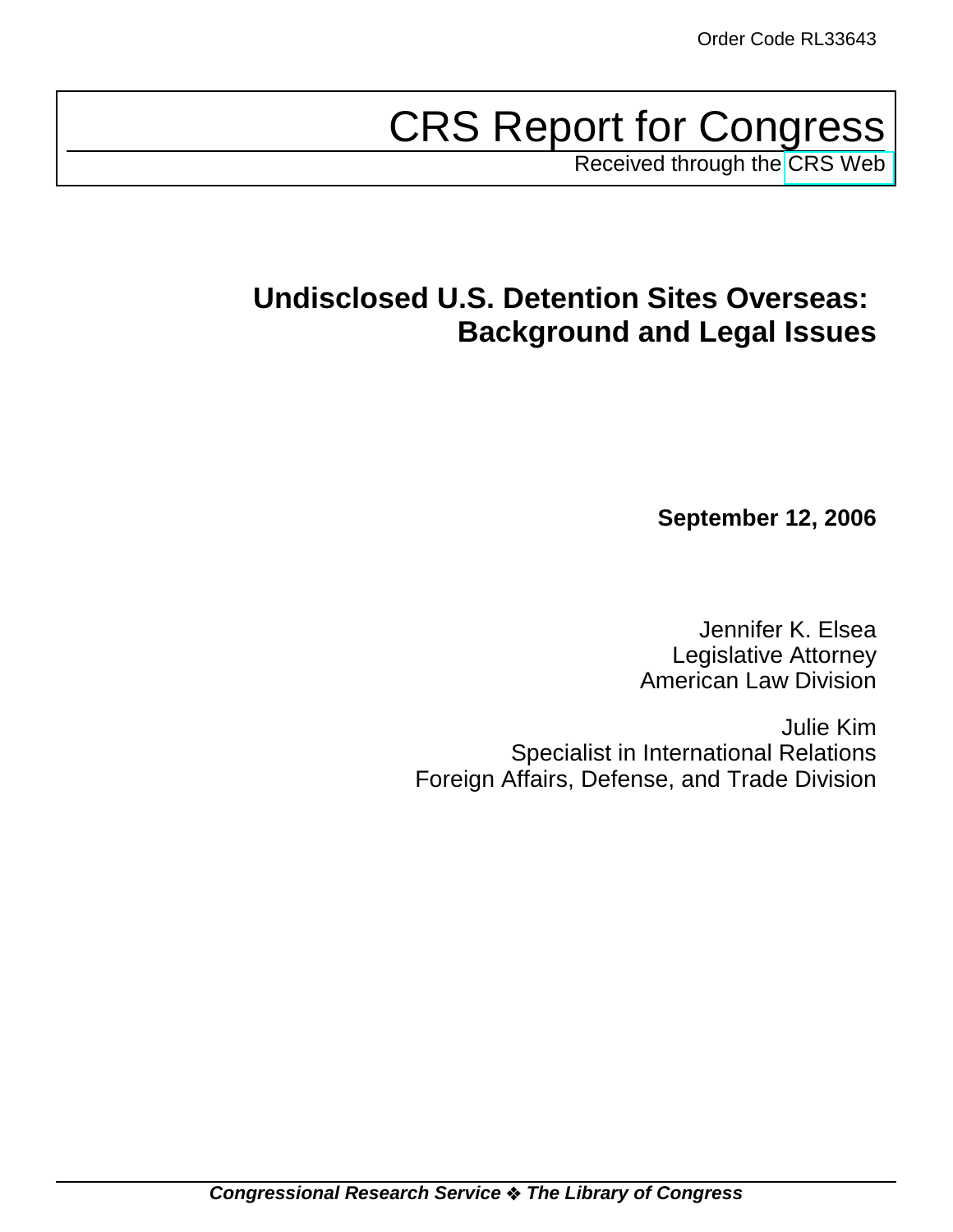# CRS Report for Congress

Received through the [CRS Web](http://www.fas.org/sgp/crs/intel/index.html)

## **Undisclosed U.S. Detention Sites Overseas: Background and Legal Issues**

**September 12, 2006**

Jennifer K. Elsea Legislative Attorney American Law Division

Julie Kim Specialist in International Relations Foreign Affairs, Defense, and Trade Division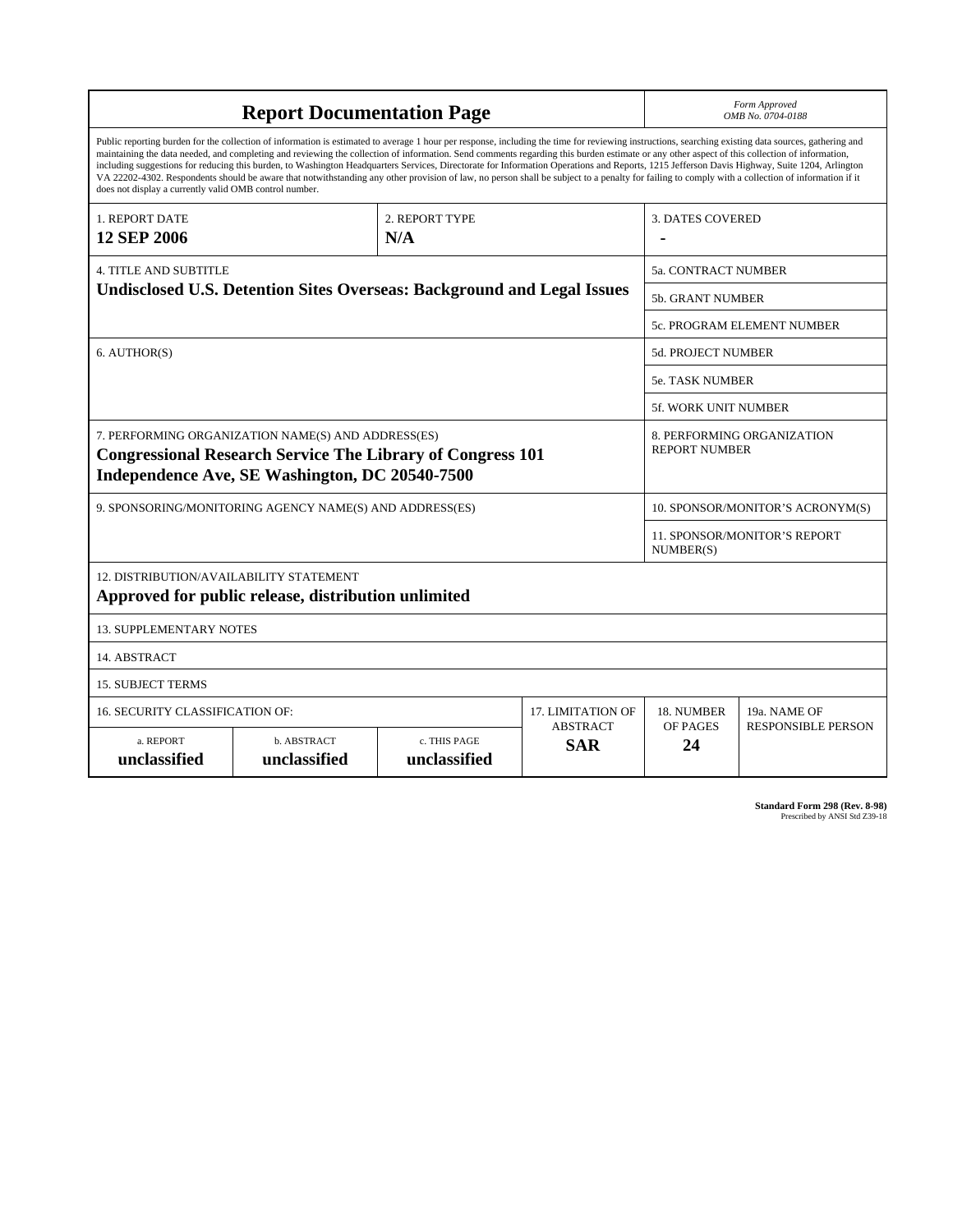| <b>Report Documentation Page</b>                                                                                                                                                                                                                                                                                                                                                                                                                                                                                                                                                                                                                                                                                                                                                                                                                                   |                             |                              |                               | Form Approved<br>OMB No. 0704-0188                 |                           |  |
|--------------------------------------------------------------------------------------------------------------------------------------------------------------------------------------------------------------------------------------------------------------------------------------------------------------------------------------------------------------------------------------------------------------------------------------------------------------------------------------------------------------------------------------------------------------------------------------------------------------------------------------------------------------------------------------------------------------------------------------------------------------------------------------------------------------------------------------------------------------------|-----------------------------|------------------------------|-------------------------------|----------------------------------------------------|---------------------------|--|
| Public reporting burden for the collection of information is estimated to average 1 hour per response, including the time for reviewing instructions, searching existing data sources, gathering and<br>maintaining the data needed, and completing and reviewing the collection of information. Send comments regarding this burden estimate or any other aspect of this collection of information,<br>including suggestions for reducing this burden, to Washington Headquarters Services, Directorate for Information Operations and Reports, 1215 Jefferson Davis Highway, Suite 1204, Arlington<br>VA 22202-4302. Respondents should be aware that notwithstanding any other provision of law, no person shall be subject to a penalty for failing to comply with a collection of information if it<br>does not display a currently valid OMB control number. |                             |                              |                               |                                                    |                           |  |
| <b>1. REPORT DATE</b>                                                                                                                                                                                                                                                                                                                                                                                                                                                                                                                                                                                                                                                                                                                                                                                                                                              | 2. REPORT TYPE              |                              | <b>3. DATES COVERED</b>       |                                                    |                           |  |
| <b>12 SEP 2006</b><br>N/A                                                                                                                                                                                                                                                                                                                                                                                                                                                                                                                                                                                                                                                                                                                                                                                                                                          |                             |                              |                               |                                                    |                           |  |
| <b>4. TITLE AND SUBTITLE</b><br><b>Undisclosed U.S. Detention Sites Overseas: Background and Legal Issues</b>                                                                                                                                                                                                                                                                                                                                                                                                                                                                                                                                                                                                                                                                                                                                                      |                             |                              |                               | <b>5a. CONTRACT NUMBER</b>                         |                           |  |
|                                                                                                                                                                                                                                                                                                                                                                                                                                                                                                                                                                                                                                                                                                                                                                                                                                                                    |                             |                              |                               | <b>5b. GRANT NUMBER</b>                            |                           |  |
|                                                                                                                                                                                                                                                                                                                                                                                                                                                                                                                                                                                                                                                                                                                                                                                                                                                                    |                             |                              |                               | 5c. PROGRAM ELEMENT NUMBER                         |                           |  |
| 6. AUTHOR(S)                                                                                                                                                                                                                                                                                                                                                                                                                                                                                                                                                                                                                                                                                                                                                                                                                                                       |                             |                              |                               | <b>5d. PROJECT NUMBER</b>                          |                           |  |
|                                                                                                                                                                                                                                                                                                                                                                                                                                                                                                                                                                                                                                                                                                                                                                                                                                                                    |                             |                              |                               | <b>5e. TASK NUMBER</b>                             |                           |  |
|                                                                                                                                                                                                                                                                                                                                                                                                                                                                                                                                                                                                                                                                                                                                                                                                                                                                    |                             |                              |                               | <b>5f. WORK UNIT NUMBER</b>                        |                           |  |
| 7. PERFORMING ORGANIZATION NAME(S) AND ADDRESS(ES)<br><b>Congressional Research Service The Library of Congress 101</b><br>Independence Ave, SE Washington, DC 20540-7500                                                                                                                                                                                                                                                                                                                                                                                                                                                                                                                                                                                                                                                                                          |                             |                              |                               | 8. PERFORMING ORGANIZATION<br><b>REPORT NUMBER</b> |                           |  |
| 9. SPONSORING/MONITORING AGENCY NAME(S) AND ADDRESS(ES)                                                                                                                                                                                                                                                                                                                                                                                                                                                                                                                                                                                                                                                                                                                                                                                                            |                             |                              |                               | 10. SPONSOR/MONITOR'S ACRONYM(S)                   |                           |  |
|                                                                                                                                                                                                                                                                                                                                                                                                                                                                                                                                                                                                                                                                                                                                                                                                                                                                    |                             |                              |                               | 11. SPONSOR/MONITOR'S REPORT<br>NUMBER(S)          |                           |  |
| 12. DISTRIBUTION/AVAILABILITY STATEMENT<br>Approved for public release, distribution unlimited                                                                                                                                                                                                                                                                                                                                                                                                                                                                                                                                                                                                                                                                                                                                                                     |                             |                              |                               |                                                    |                           |  |
| <b>13. SUPPLEMENTARY NOTES</b>                                                                                                                                                                                                                                                                                                                                                                                                                                                                                                                                                                                                                                                                                                                                                                                                                                     |                             |                              |                               |                                                    |                           |  |
| 14. ABSTRACT                                                                                                                                                                                                                                                                                                                                                                                                                                                                                                                                                                                                                                                                                                                                                                                                                                                       |                             |                              |                               |                                                    |                           |  |
| <b>15. SUBJECT TERMS</b>                                                                                                                                                                                                                                                                                                                                                                                                                                                                                                                                                                                                                                                                                                                                                                                                                                           |                             |                              |                               |                                                    |                           |  |
| 16. SECURITY CLASSIFICATION OF:                                                                                                                                                                                                                                                                                                                                                                                                                                                                                                                                                                                                                                                                                                                                                                                                                                    |                             |                              | <b>17. LIMITATION OF</b>      | 18. NUMBER                                         | 19a. NAME OF              |  |
| a. REPORT<br>unclassified                                                                                                                                                                                                                                                                                                                                                                                                                                                                                                                                                                                                                                                                                                                                                                                                                                          | b. ABSTRACT<br>unclassified | c. THIS PAGE<br>unclassified | <b>ABSTRACT</b><br><b>SAR</b> | OF PAGES<br>24                                     | <b>RESPONSIBLE PERSON</b> |  |

**Standard Form 298 (Rev. 8-98)**<br>Prescribed by ANSI Std Z39-18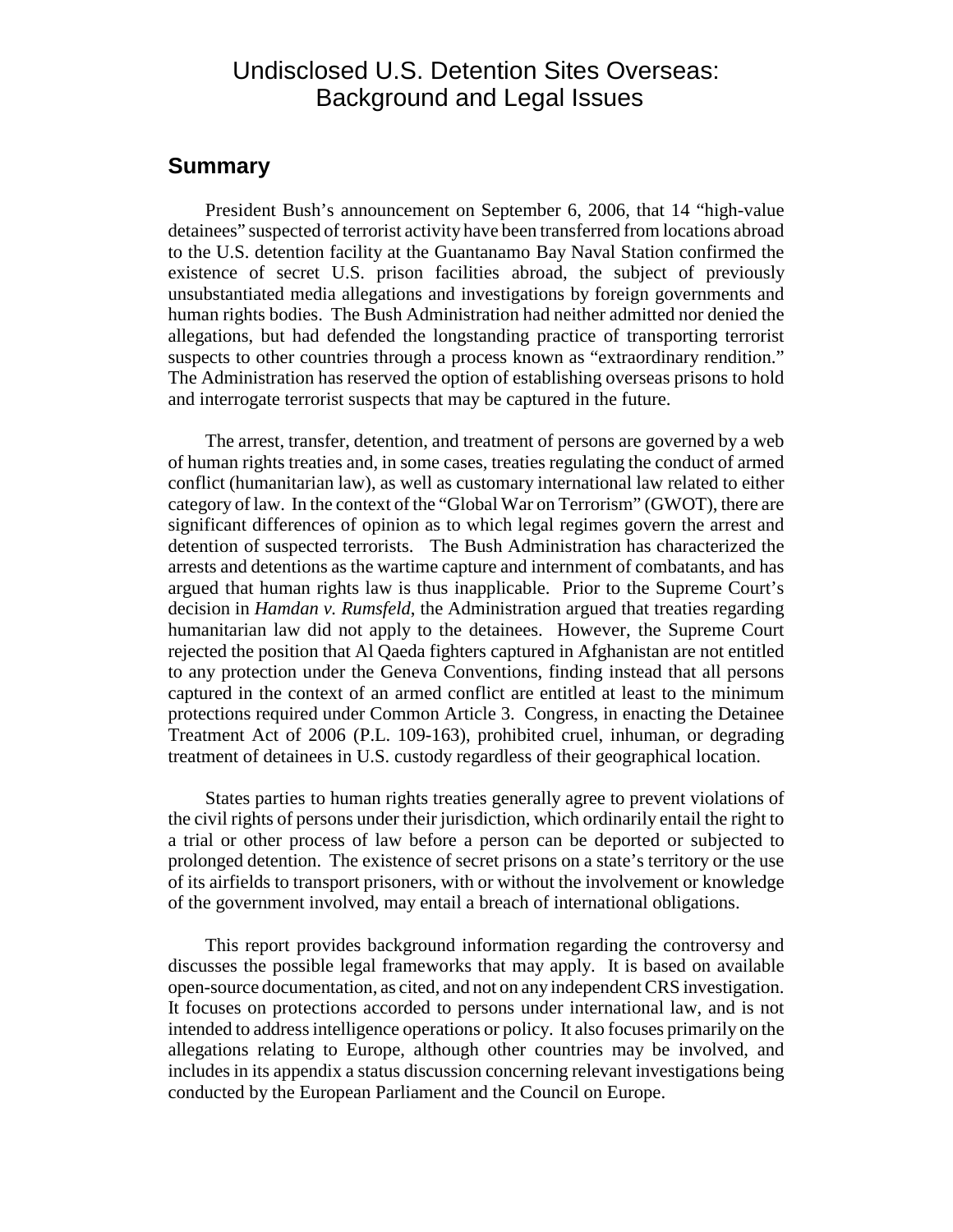## Undisclosed U.S. Detention Sites Overseas: Background and Legal Issues

#### **Summary**

President Bush's announcement on September 6, 2006, that 14 "high-value detainees" suspected of terrorist activity have been transferred from locations abroad to the U.S. detention facility at the Guantanamo Bay Naval Station confirmed the existence of secret U.S. prison facilities abroad, the subject of previously unsubstantiated media allegations and investigations by foreign governments and human rights bodies. The Bush Administration had neither admitted nor denied the allegations, but had defended the longstanding practice of transporting terrorist suspects to other countries through a process known as "extraordinary rendition." The Administration has reserved the option of establishing overseas prisons to hold and interrogate terrorist suspects that may be captured in the future.

The arrest, transfer, detention, and treatment of persons are governed by a web of human rights treaties and, in some cases, treaties regulating the conduct of armed conflict (humanitarian law), as well as customary international law related to either category of law. In the context of the "Global War on Terrorism" (GWOT), there are significant differences of opinion as to which legal regimes govern the arrest and detention of suspected terrorists. The Bush Administration has characterized the arrests and detentions as the wartime capture and internment of combatants, and has argued that human rights law is thus inapplicable. Prior to the Supreme Court's decision in *Hamdan v. Rumsfeld*, the Administration argued that treaties regarding humanitarian law did not apply to the detainees. However, the Supreme Court rejected the position that Al Qaeda fighters captured in Afghanistan are not entitled to any protection under the Geneva Conventions, finding instead that all persons captured in the context of an armed conflict are entitled at least to the minimum protections required under Common Article 3. Congress, in enacting the Detainee Treatment Act of 2006 (P.L. 109-163), prohibited cruel, inhuman, or degrading treatment of detainees in U.S. custody regardless of their geographical location.

States parties to human rights treaties generally agree to prevent violations of the civil rights of persons under their jurisdiction, which ordinarily entail the right to a trial or other process of law before a person can be deported or subjected to prolonged detention. The existence of secret prisons on a state's territory or the use of its airfields to transport prisoners, with or without the involvement or knowledge of the government involved, may entail a breach of international obligations.

This report provides background information regarding the controversy and discusses the possible legal frameworks that may apply. It is based on available open-source documentation, as cited, and not on any independent CRS investigation. It focuses on protections accorded to persons under international law, and is not intended to address intelligence operations or policy. It also focuses primarily on the allegations relating to Europe, although other countries may be involved, and includes in its appendix a status discussion concerning relevant investigations being conducted by the European Parliament and the Council on Europe.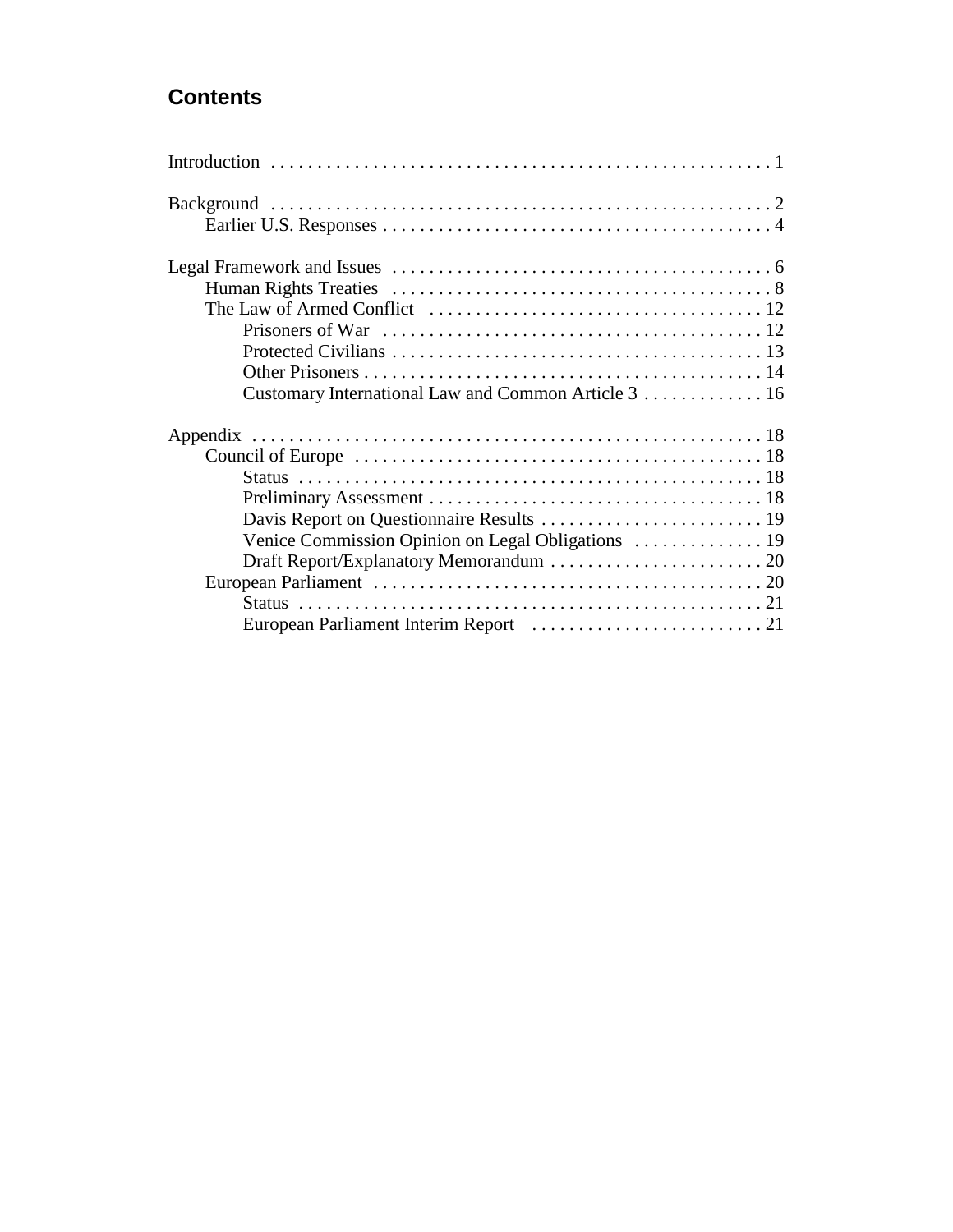## **Contents**

| Venice Commission Opinion on Legal Obligations  19 |  |
|----------------------------------------------------|--|
|                                                    |  |
|                                                    |  |
|                                                    |  |
|                                                    |  |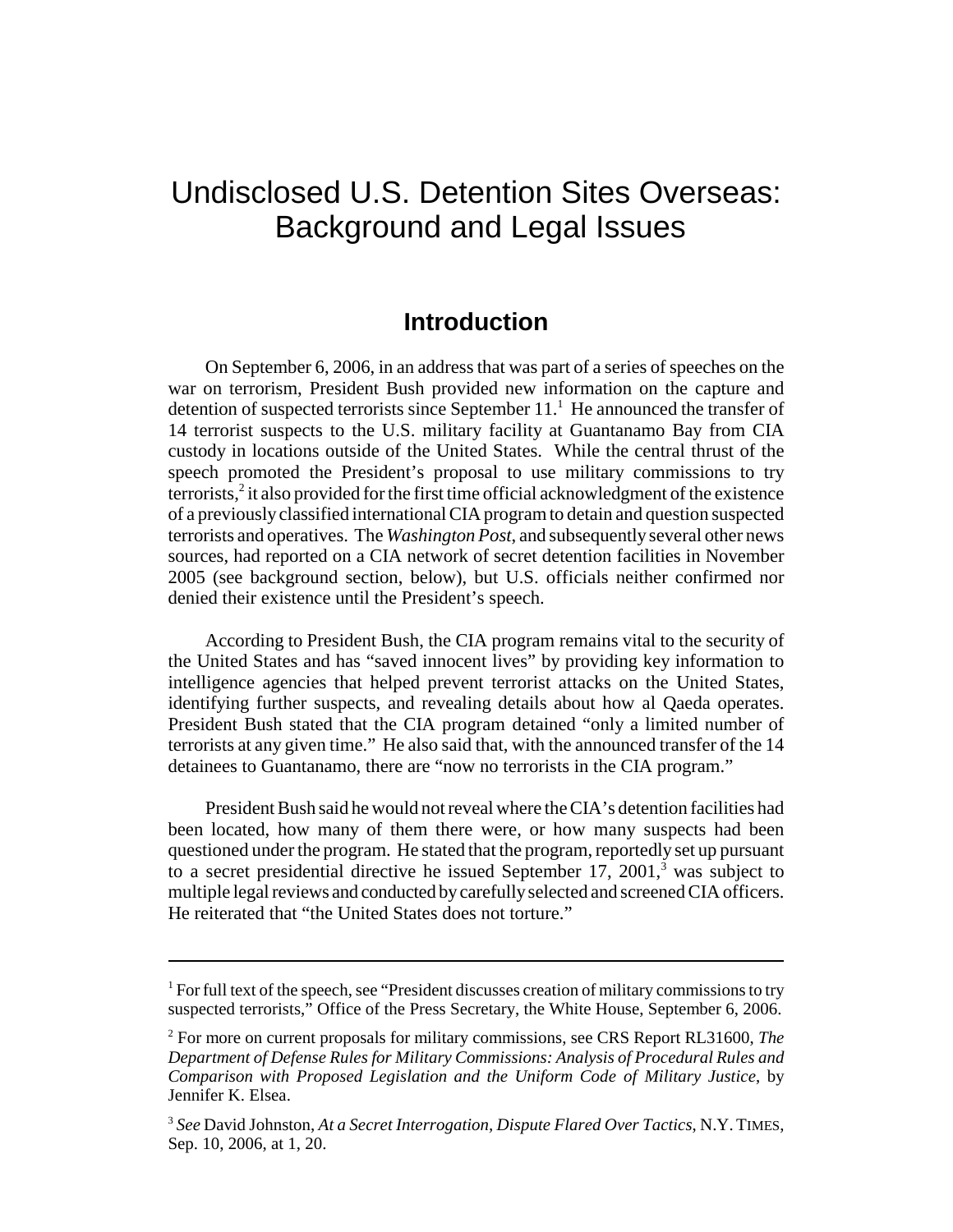## Undisclosed U.S. Detention Sites Overseas: Background and Legal Issues

### **Introduction**

On September 6, 2006, in an address that was part of a series of speeches on the war on terrorism, President Bush provided new information on the capture and detention of suspected terrorists since September  $11<sup>1</sup>$ . He announced the transfer of 14 terrorist suspects to the U.S. military facility at Guantanamo Bay from CIA custody in locations outside of the United States. While the central thrust of the speech promoted the President's proposal to use military commissions to try terrorists, $2$  it also provided for the first time official acknowledgment of the existence of a previously classified international CIA program to detain and question suspected terrorists and operatives. The *Washington Post*, and subsequently several other news sources, had reported on a CIA network of secret detention facilities in November 2005 (see background section, below), but U.S. officials neither confirmed nor denied their existence until the President's speech.

According to President Bush, the CIA program remains vital to the security of the United States and has "saved innocent lives" by providing key information to intelligence agencies that helped prevent terrorist attacks on the United States, identifying further suspects, and revealing details about how al Qaeda operates. President Bush stated that the CIA program detained "only a limited number of terrorists at any given time." He also said that, with the announced transfer of the 14 detainees to Guantanamo, there are "now no terrorists in the CIA program."

President Bush said he would not reveal where the CIA's detention facilities had been located, how many of them there were, or how many suspects had been questioned under the program. He stated that the program, reportedly set up pursuant to a secret presidential directive he issued September 17, 2001, $3$  was subject to multiple legal reviews and conducted by carefully selected and screened CIA officers. He reiterated that "the United States does not torture."

 $<sup>1</sup>$  For full text of the speech, see "President discusses creation of military commissions to try</sup> suspected terrorists," Office of the Press Secretary, the White House, September 6, 2006.

<sup>2</sup> For more on current proposals for military commissions, see CRS Report RL31600, *The Department of Defense Rules for Military Commissions: Analysis of Procedural Rules and Comparison with Proposed Legislation and the Uniform Code of Military Justice*, by Jennifer K. Elsea.

<sup>3</sup> *See* David Johnston, *At a Secret Interrogation, Dispute Flared Over Tactics*, N.Y. TIMES, Sep. 10, 2006, at 1, 20.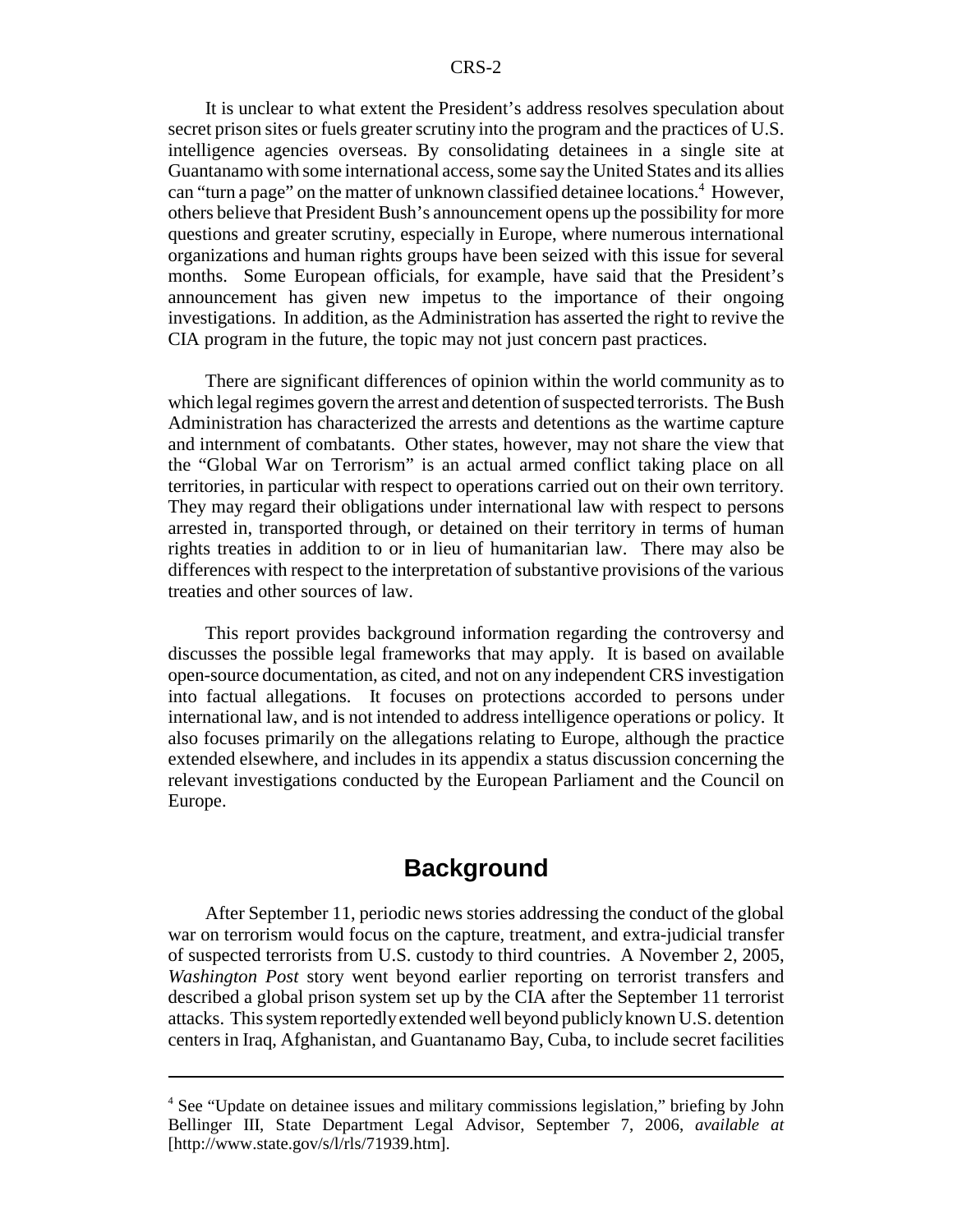It is unclear to what extent the President's address resolves speculation about secret prison sites or fuels greater scrutiny into the program and the practices of U.S. intelligence agencies overseas. By consolidating detainees in a single site at Guantanamo with some international access, some say the United States and its allies can "turn a page" on the matter of unknown classified detainee locations.<sup>4</sup> However, others believe that President Bush's announcement opens up the possibility for more questions and greater scrutiny, especially in Europe, where numerous international organizations and human rights groups have been seized with this issue for several months. Some European officials, for example, have said that the President's announcement has given new impetus to the importance of their ongoing investigations. In addition, as the Administration has asserted the right to revive the CIA program in the future, the topic may not just concern past practices.

There are significant differences of opinion within the world community as to which legal regimes govern the arrest and detention of suspected terrorists. The Bush Administration has characterized the arrests and detentions as the wartime capture and internment of combatants. Other states, however, may not share the view that the "Global War on Terrorism" is an actual armed conflict taking place on all territories, in particular with respect to operations carried out on their own territory. They may regard their obligations under international law with respect to persons arrested in, transported through, or detained on their territory in terms of human rights treaties in addition to or in lieu of humanitarian law. There may also be differences with respect to the interpretation of substantive provisions of the various treaties and other sources of law.

This report provides background information regarding the controversy and discusses the possible legal frameworks that may apply. It is based on available open-source documentation, as cited, and not on any independent CRS investigation into factual allegations. It focuses on protections accorded to persons under international law, and is not intended to address intelligence operations or policy. It also focuses primarily on the allegations relating to Europe, although the practice extended elsewhere, and includes in its appendix a status discussion concerning the relevant investigations conducted by the European Parliament and the Council on Europe.

## **Background**

After September 11, periodic news stories addressing the conduct of the global war on terrorism would focus on the capture, treatment, and extra-judicial transfer of suspected terrorists from U.S. custody to third countries. A November 2, 2005, *Washington Post* story went beyond earlier reporting on terrorist transfers and described a global prison system set up by the CIA after the September 11 terrorist attacks. This system reportedly extended well beyond publicly known U.S. detention centers in Iraq, Afghanistan, and Guantanamo Bay, Cuba, to include secret facilities

<sup>&</sup>lt;sup>4</sup> See "Update on detainee issues and military commissions legislation," briefing by John Bellinger III, State Department Legal Advisor, September 7, 2006, *available at* [http://www.state.gov/s/l/rls/71939.htm].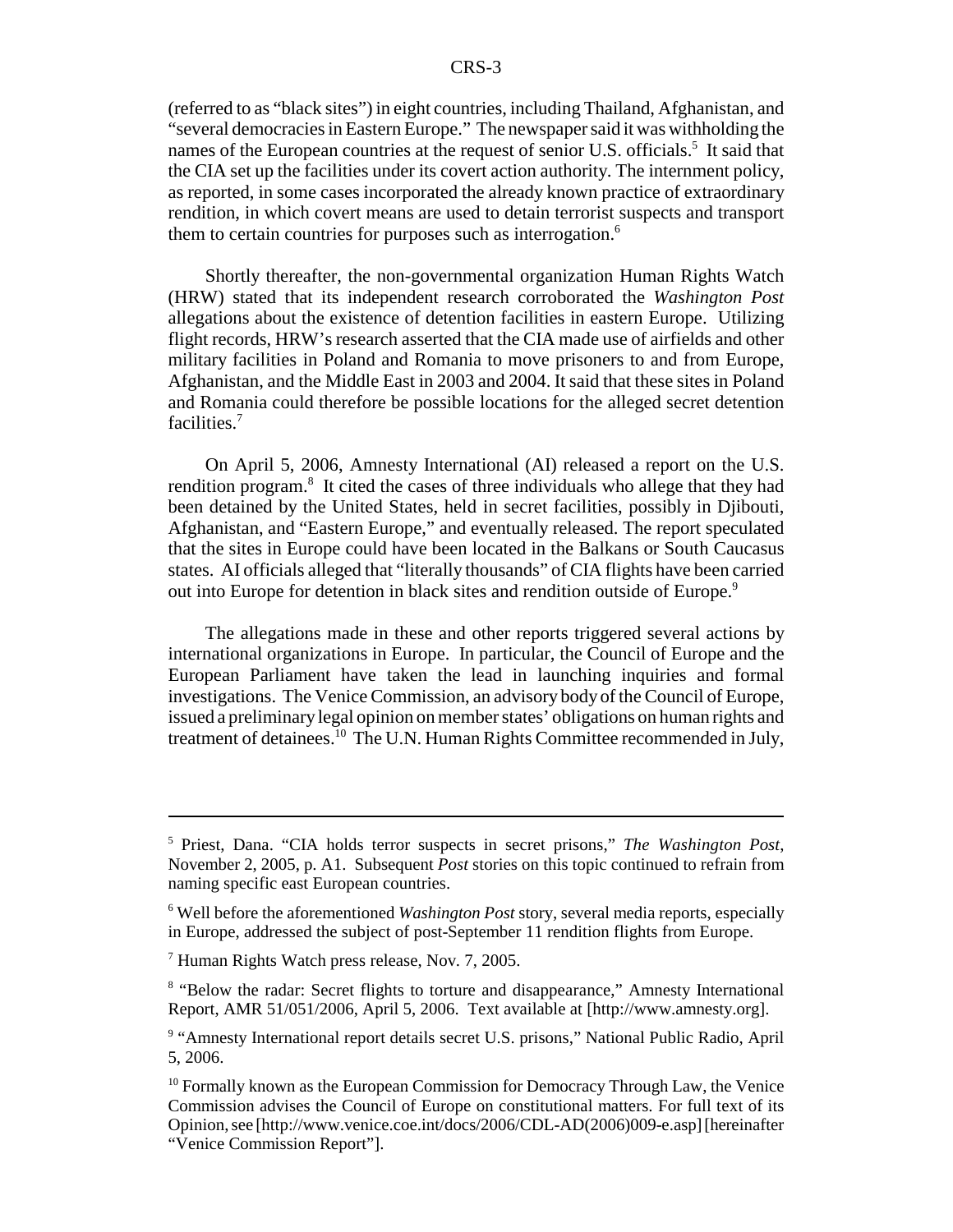(referred to as "black sites") in eight countries, including Thailand, Afghanistan, and "several democracies in Eastern Europe." The newspaper said it was withholding the names of the European countries at the request of senior U.S. officials.<sup>5</sup> It said that the CIA set up the facilities under its covert action authority. The internment policy, as reported, in some cases incorporated the already known practice of extraordinary rendition, in which covert means are used to detain terrorist suspects and transport them to certain countries for purposes such as interrogation.<sup>6</sup>

Shortly thereafter, the non-governmental organization Human Rights Watch (HRW) stated that its independent research corroborated the *Washington Post* allegations about the existence of detention facilities in eastern Europe. Utilizing flight records, HRW's research asserted that the CIA made use of airfields and other military facilities in Poland and Romania to move prisoners to and from Europe, Afghanistan, and the Middle East in 2003 and 2004. It said that these sites in Poland and Romania could therefore be possible locations for the alleged secret detention facilities.7

On April 5, 2006, Amnesty International (AI) released a report on the U.S. rendition program.<sup>8</sup> It cited the cases of three individuals who allege that they had been detained by the United States, held in secret facilities, possibly in Djibouti, Afghanistan, and "Eastern Europe," and eventually released. The report speculated that the sites in Europe could have been located in the Balkans or South Caucasus states. AI officials alleged that "literally thousands" of CIA flights have been carried out into Europe for detention in black sites and rendition outside of Europe.<sup>9</sup>

The allegations made in these and other reports triggered several actions by international organizations in Europe. In particular, the Council of Europe and the European Parliament have taken the lead in launching inquiries and formal investigations. The Venice Commission, an advisory body of the Council of Europe, issued a preliminary legal opinion on member states' obligations on human rights and treatment of detainees.<sup>10</sup> The U.N. Human Rights Committee recommended in July,

<sup>5</sup> Priest, Dana. "CIA holds terror suspects in secret prisons," *The Washington Post*, November 2, 2005, p. A1. Subsequent *Post* stories on this topic continued to refrain from naming specific east European countries.

<sup>6</sup> Well before the aforementioned *Washington Post* story, several media reports, especially in Europe, addressed the subject of post-September 11 rendition flights from Europe.

<sup>&</sup>lt;sup>7</sup> Human Rights Watch press release, Nov. 7, 2005.

<sup>&</sup>lt;sup>8</sup> "Below the radar: Secret flights to torture and disappearance," Amnesty International Report, AMR 51/051/2006, April 5, 2006. Text available at [http://www.amnesty.org].

<sup>&</sup>lt;sup>9</sup> "Amnesty International report details secret U.S. prisons," National Public Radio, April 5, 2006.

<sup>&</sup>lt;sup>10</sup> Formally known as the European Commission for Democracy Through Law, the Venice Commission advises the Council of Europe on constitutional matters. For full text of its Opinion, see [http://www.venice.coe.int/docs/2006/CDL-AD(2006)009-e.asp] [hereinafter "Venice Commission Report"].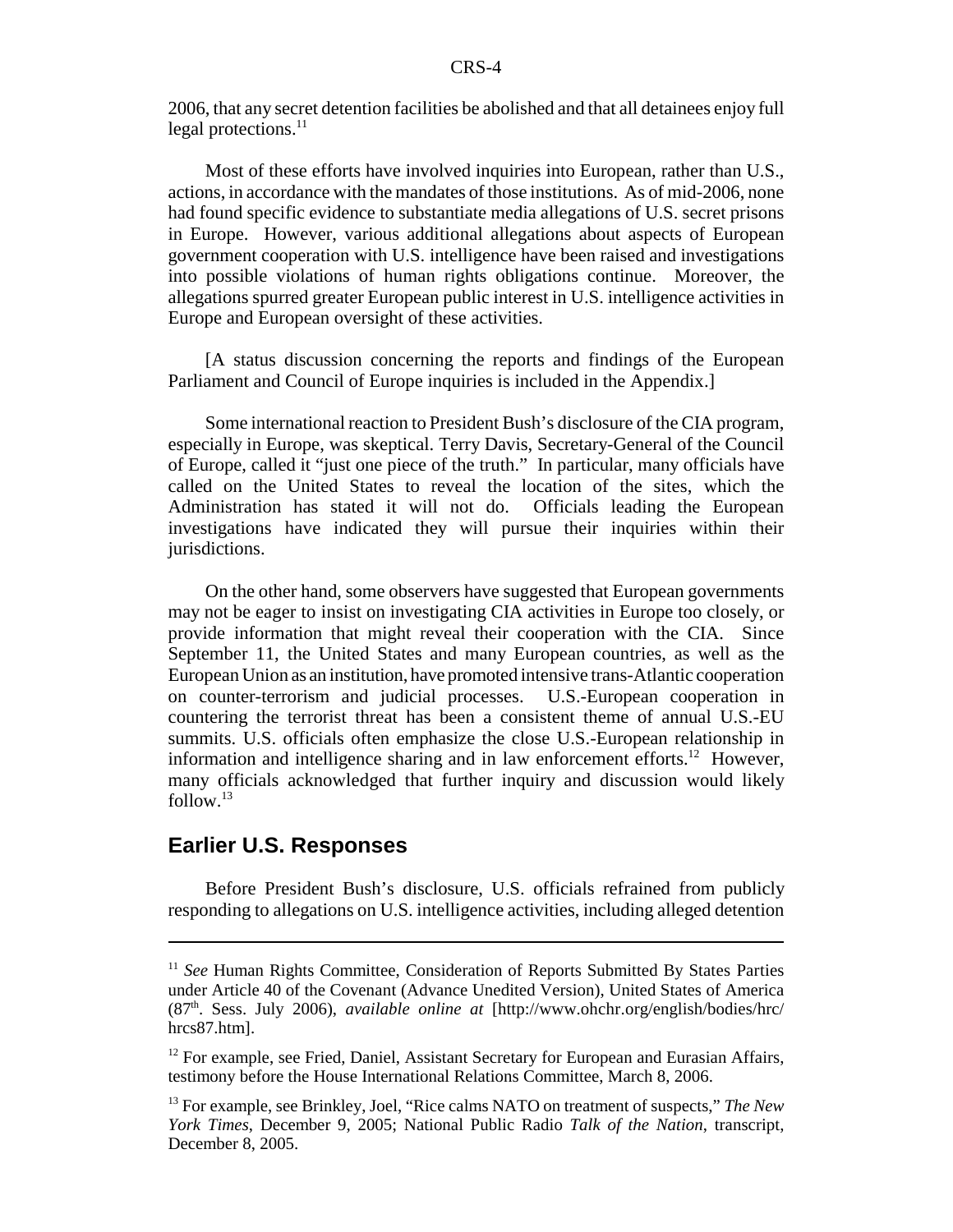2006, that any secret detention facilities be abolished and that all detainees enjoy full legal protections.<sup>11</sup>

Most of these efforts have involved inquiries into European, rather than U.S., actions, in accordance with the mandates of those institutions. As of mid-2006, none had found specific evidence to substantiate media allegations of U.S. secret prisons in Europe. However, various additional allegations about aspects of European government cooperation with U.S. intelligence have been raised and investigations into possible violations of human rights obligations continue. Moreover, the allegations spurred greater European public interest in U.S. intelligence activities in Europe and European oversight of these activities.

[A status discussion concerning the reports and findings of the European Parliament and Council of Europe inquiries is included in the Appendix.]

Some international reaction to President Bush's disclosure of the CIA program, especially in Europe, was skeptical. Terry Davis, Secretary-General of the Council of Europe, called it "just one piece of the truth." In particular, many officials have called on the United States to reveal the location of the sites, which the Administration has stated it will not do. Officials leading the European investigations have indicated they will pursue their inquiries within their jurisdictions.

On the other hand, some observers have suggested that European governments may not be eager to insist on investigating CIA activities in Europe too closely, or provide information that might reveal their cooperation with the CIA. Since September 11, the United States and many European countries, as well as the European Union as an institution, have promoted intensive trans-Atlantic cooperation on counter-terrorism and judicial processes. U.S.-European cooperation in countering the terrorist threat has been a consistent theme of annual U.S.-EU summits. U.S. officials often emphasize the close U.S.-European relationship in information and intelligence sharing and in law enforcement efforts.<sup>12</sup> However, many officials acknowledged that further inquiry and discussion would likely follow. $13$ 

#### **Earlier U.S. Responses**

Before President Bush's disclosure, U.S. officials refrained from publicly responding to allegations on U.S. intelligence activities, including alleged detention

<sup>&</sup>lt;sup>11</sup> *See* Human Rights Committee, Consideration of Reports Submitted By States Parties under Article 40 of the Covenant (Advance Unedited Version), United States of America (87th. Sess. July 2006), *available online at* [http://www.ohchr.org/english/bodies/hrc/ hrcs87.htm].

 $12$  For example, see Fried, Daniel, Assistant Secretary for European and Eurasian Affairs, testimony before the House International Relations Committee, March 8, 2006.

<sup>13</sup> For example, see Brinkley, Joel, "Rice calms NATO on treatment of suspects," *The New York Times*, December 9, 2005; National Public Radio *Talk of the Nation*, transcript, December 8, 2005.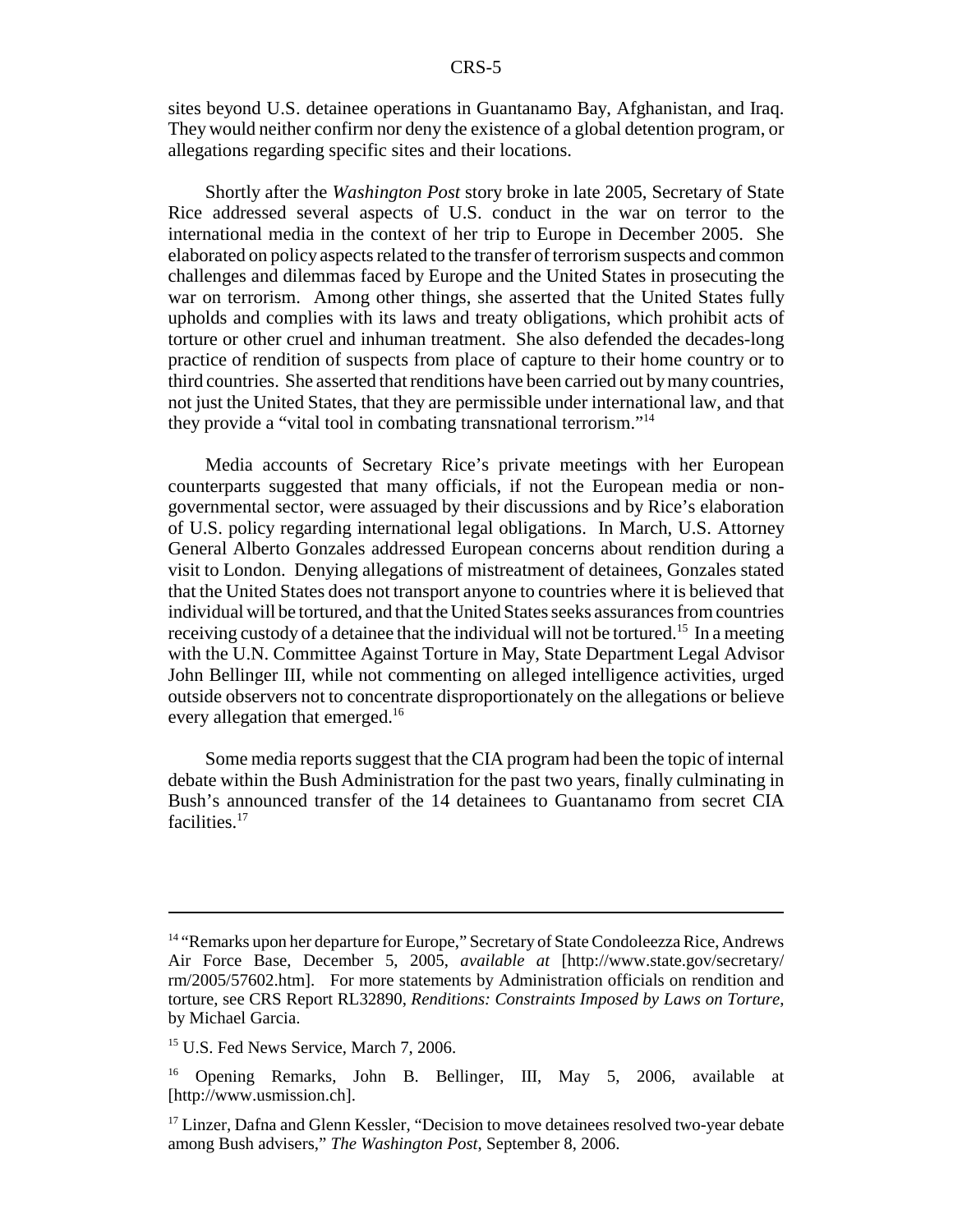sites beyond U.S. detainee operations in Guantanamo Bay, Afghanistan, and Iraq. They would neither confirm nor deny the existence of a global detention program, or allegations regarding specific sites and their locations.

Shortly after the *Washington Post* story broke in late 2005, Secretary of State Rice addressed several aspects of U.S. conduct in the war on terror to the international media in the context of her trip to Europe in December 2005. She elaborated on policy aspects related to the transfer of terrorism suspects and common challenges and dilemmas faced by Europe and the United States in prosecuting the war on terrorism. Among other things, she asserted that the United States fully upholds and complies with its laws and treaty obligations, which prohibit acts of torture or other cruel and inhuman treatment. She also defended the decades-long practice of rendition of suspects from place of capture to their home country or to third countries. She asserted that renditions have been carried out by many countries, not just the United States, that they are permissible under international law, and that they provide a "vital tool in combating transnational terrorism."14

Media accounts of Secretary Rice's private meetings with her European counterparts suggested that many officials, if not the European media or nongovernmental sector, were assuaged by their discussions and by Rice's elaboration of U.S. policy regarding international legal obligations. In March, U.S. Attorney General Alberto Gonzales addressed European concerns about rendition during a visit to London. Denying allegations of mistreatment of detainees, Gonzales stated that the United States does not transport anyone to countries where it is believed that individual will be tortured, and that the United States seeks assurances from countries receiving custody of a detainee that the individual will not be tortured.<sup>15</sup> In a meeting with the U.N. Committee Against Torture in May, State Department Legal Advisor John Bellinger III, while not commenting on alleged intelligence activities, urged outside observers not to concentrate disproportionately on the allegations or believe every allegation that emerged.<sup>16</sup>

Some media reports suggest that the CIA program had been the topic of internal debate within the Bush Administration for the past two years, finally culminating in Bush's announced transfer of the 14 detainees to Guantanamo from secret CIA facilities.<sup>17</sup>

<sup>&</sup>lt;sup>14</sup> "Remarks upon her departure for Europe," Secretary of State Condoleezza Rice, Andrews Air Force Base, December 5, 2005, *available at* [http://www.state.gov/secretary/ rm/2005/57602.htm]. For more statements by Administration officials on rendition and torture, see CRS Report RL32890, *Renditions: Constraints Imposed by Laws on Torture*, by Michael Garcia.

<sup>&</sup>lt;sup>15</sup> U.S. Fed News Service, March 7, 2006.

<sup>&</sup>lt;sup>16</sup> Opening Remarks, John B. Bellinger, III, May 5, 2006, available at [http://www.usmission.ch].

 $17$  Linzer, Dafna and Glenn Kessler, "Decision to move detainees resolved two-year debate among Bush advisers," *The Washington Post*, September 8, 2006.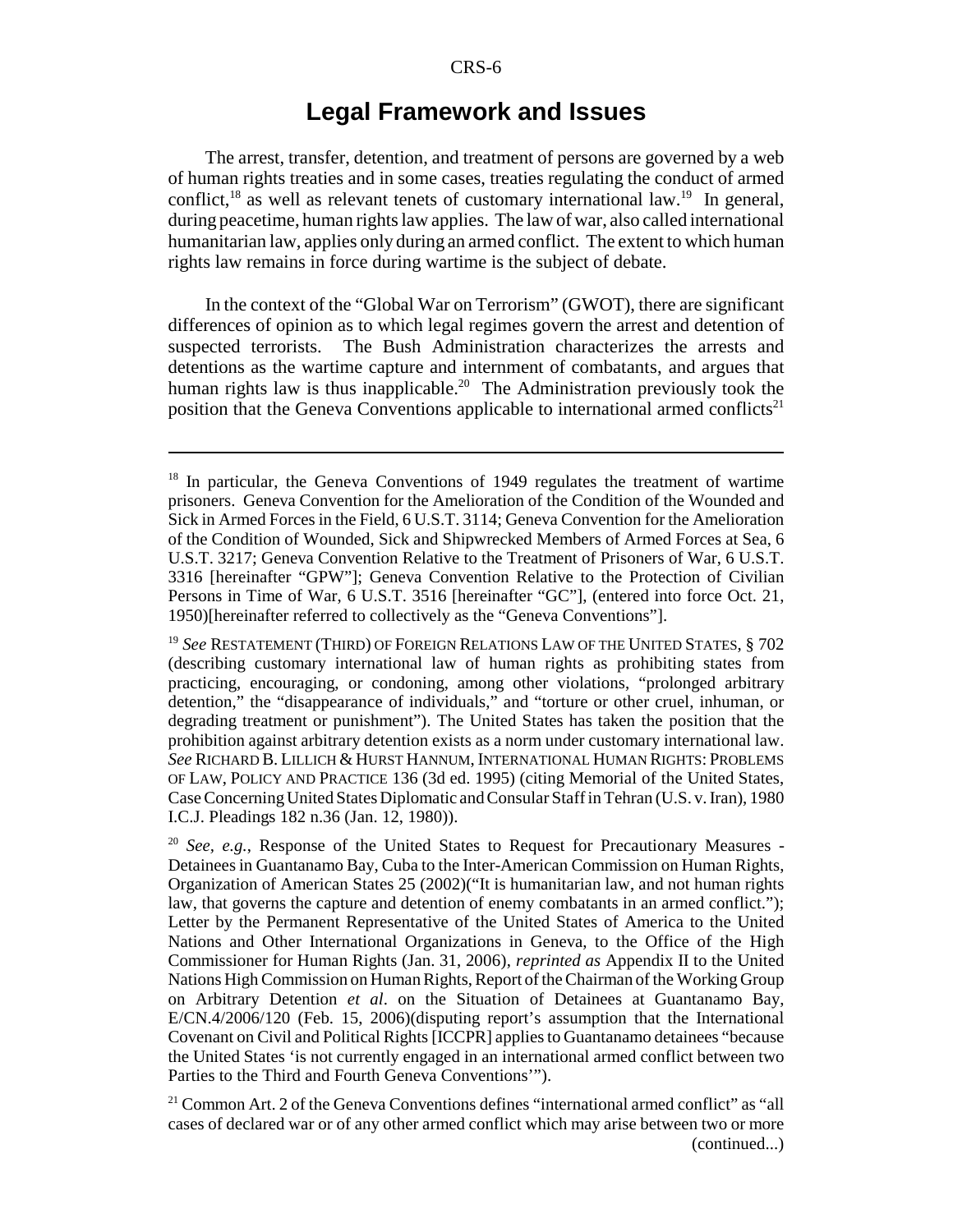### **Legal Framework and Issues**

The arrest, transfer, detention, and treatment of persons are governed by a web of human rights treaties and in some cases, treaties regulating the conduct of armed conflict, $^{18}$  as well as relevant tenets of customary international law.<sup>19</sup> In general, during peacetime, human rights law applies. The law of war, also called international humanitarian law, applies only during an armed conflict. The extent to which human rights law remains in force during wartime is the subject of debate.

In the context of the "Global War on Terrorism" (GWOT), there are significant differences of opinion as to which legal regimes govern the arrest and detention of suspected terrorists. The Bush Administration characterizes the arrests and detentions as the wartime capture and internment of combatants, and argues that human rights law is thus inapplicable.<sup>20</sup> The Administration previously took the position that the Geneva Conventions applicable to international armed conflicts<sup>21</sup>

<sup>&</sup>lt;sup>18</sup> In particular, the Geneva Conventions of 1949 regulates the treatment of wartime prisoners. Geneva Convention for the Amelioration of the Condition of the Wounded and Sick in Armed Forces in the Field, 6 U.S.T. 3114; Geneva Convention for the Amelioration of the Condition of Wounded, Sick and Shipwrecked Members of Armed Forces at Sea, 6 U.S.T. 3217; Geneva Convention Relative to the Treatment of Prisoners of War, 6 U.S.T. 3316 [hereinafter "GPW"]; Geneva Convention Relative to the Protection of Civilian Persons in Time of War, 6 U.S.T. 3516 [hereinafter "GC"], (entered into force Oct. 21, 1950)[hereinafter referred to collectively as the "Geneva Conventions"].

<sup>19</sup> *See* RESTATEMENT (THIRD) OF FOREIGN RELATIONS LAW OF THE UNITED STATES, § 702 (describing customary international law of human rights as prohibiting states from practicing, encouraging, or condoning, among other violations, "prolonged arbitrary detention," the "disappearance of individuals," and "torture or other cruel, inhuman, or degrading treatment or punishment"). The United States has taken the position that the prohibition against arbitrary detention exists as a norm under customary international law. *See* RICHARD B. LILLICH & HURST HANNUM, INTERNATIONAL HUMAN RIGHTS: PROBLEMS OF LAW, POLICY AND PRACTICE 136 (3d ed. 1995) (citing Memorial of the United States, Case Concerning United States Diplomatic and Consular Staff in Tehran (U.S. v. Iran), 1980 I.C.J. Pleadings 182 n.36 (Jan. 12, 1980)).

<sup>20</sup> *See, e.g.*, Response of the United States to Request for Precautionary Measures - Detainees in Guantanamo Bay, Cuba to the Inter-American Commission on Human Rights, Organization of American States 25 (2002)("It is humanitarian law, and not human rights law, that governs the capture and detention of enemy combatants in an armed conflict."); Letter by the Permanent Representative of the United States of America to the United Nations and Other International Organizations in Geneva, to the Office of the High Commissioner for Human Rights (Jan. 31, 2006), *reprinted as* Appendix II to the United Nations High Commission on Human Rights, Report of the Chairman of the Working Group on Arbitrary Detention *et al*. on the Situation of Detainees at Guantanamo Bay, E/CN.4/2006/120 (Feb. 15, 2006)(disputing report's assumption that the International Covenant on Civil and Political Rights [ICCPR] applies to Guantanamo detainees "because the United States 'is not currently engaged in an international armed conflict between two Parties to the Third and Fourth Geneva Conventions'").

 $21$  Common Art. 2 of the Geneva Conventions defines "international armed conflict" as "all cases of declared war or of any other armed conflict which may arise between two or more (continued...)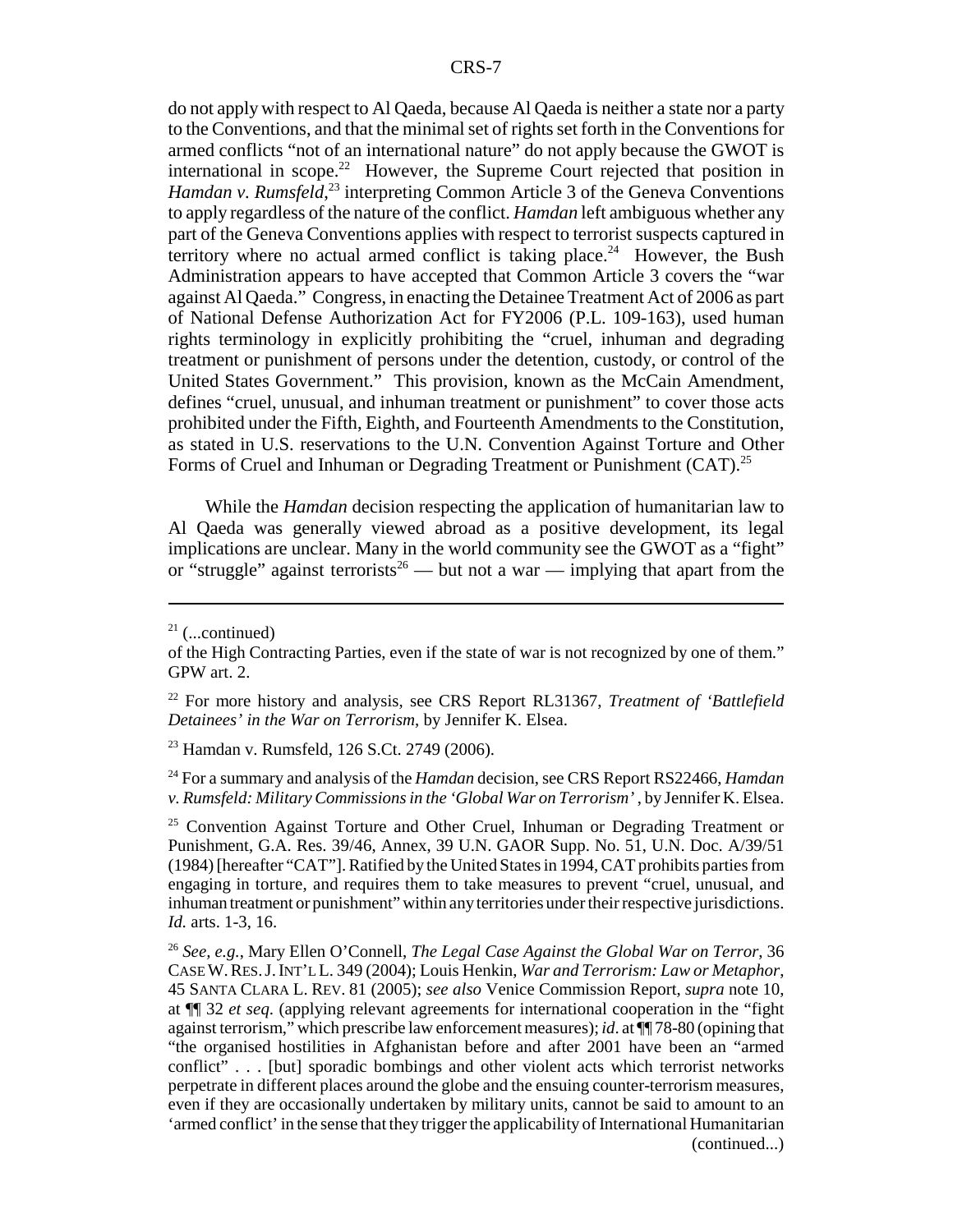do not apply with respect to Al Qaeda, because Al Qaeda is neither a state nor a party to the Conventions, and that the minimal set of rights set forth in the Conventions for armed conflicts "not of an international nature" do not apply because the GWOT is international in scope.<sup>22</sup> However, the Supreme Court rejected that position in Hamdan v. Rumsfeld,<sup>23</sup> interpreting Common Article 3 of the Geneva Conventions to apply regardless of the nature of the conflict. *Hamdan* left ambiguous whether any part of the Geneva Conventions applies with respect to terrorist suspects captured in territory where no actual armed conflict is taking place.<sup>24</sup> However, the Bush Administration appears to have accepted that Common Article 3 covers the "war against Al Qaeda." Congress, in enacting the Detainee Treatment Act of 2006 as part of National Defense Authorization Act for FY2006 (P.L. 109-163), used human rights terminology in explicitly prohibiting the "cruel, inhuman and degrading treatment or punishment of persons under the detention, custody, or control of the United States Government." This provision, known as the McCain Amendment, defines "cruel, unusual, and inhuman treatment or punishment" to cover those acts prohibited under the Fifth, Eighth, and Fourteenth Amendments to the Constitution, as stated in U.S. reservations to the U.N. Convention Against Torture and Other Forms of Cruel and Inhuman or Degrading Treatment or Punishment (CAT).<sup>25</sup>

While the *Hamdan* decision respecting the application of humanitarian law to Al Qaeda was generally viewed abroad as a positive development, its legal implications are unclear. Many in the world community see the GWOT as a "fight" or "struggle" against terrorists<sup>26</sup> — but not a war — implying that apart from the

23 Hamdan v. Rumsfeld, 126 S.Ct. 2749 (2006).

24 For a summary and analysis of the *Hamdan* decision, see CRS Report RS22466, *Hamdan v. Rumsfeld: Military Commissions in the 'Global War on Terrorism'* , by Jennifer K. Elsea.

<sup>25</sup> Convention Against Torture and Other Cruel, Inhuman or Degrading Treatment or Punishment, G.A. Res. 39/46, Annex, 39 U.N. GAOR Supp. No. 51, U.N. Doc. A/39/51 (1984) [hereafter "CAT"]. Ratified by the United States in 1994, CAT prohibits parties from engaging in torture, and requires them to take measures to prevent "cruel, unusual, and inhuman treatment or punishment" within any territories under their respective jurisdictions. *Id.* arts. 1-3, 16.

 $21$  (...continued)

of the High Contracting Parties, even if the state of war is not recognized by one of them." GPW art. 2.

<sup>22</sup> For more history and analysis, see CRS Report RL31367, *Treatment of 'Battlefield Detainees' in the War on Terrorism*, by Jennifer K. Elsea.

<sup>26</sup> *See, e.g.*, Mary Ellen O'Connell, *The Legal Case Against the Global War on Terror*, 36 CASE W.RES.J.INT'L L. 349 (2004); Louis Henkin, *War and Terrorism: Law or Metaphor*, 45 SANTA CLARA L. REV. 81 (2005); *see also* Venice Commission Report, *supra* note 10, at ¶¶ 32 *et seq*. (applying relevant agreements for international cooperation in the "fight against terrorism," which prescribe law enforcement measures); *id*. at ¶¶ 78-80 (opining that "the organised hostilities in Afghanistan before and after 2001 have been an "armed conflict" . . . [but] sporadic bombings and other violent acts which terrorist networks perpetrate in different places around the globe and the ensuing counter-terrorism measures, even if they are occasionally undertaken by military units, cannot be said to amount to an 'armed conflict' in the sense that they trigger the applicability of International Humanitarian (continued...)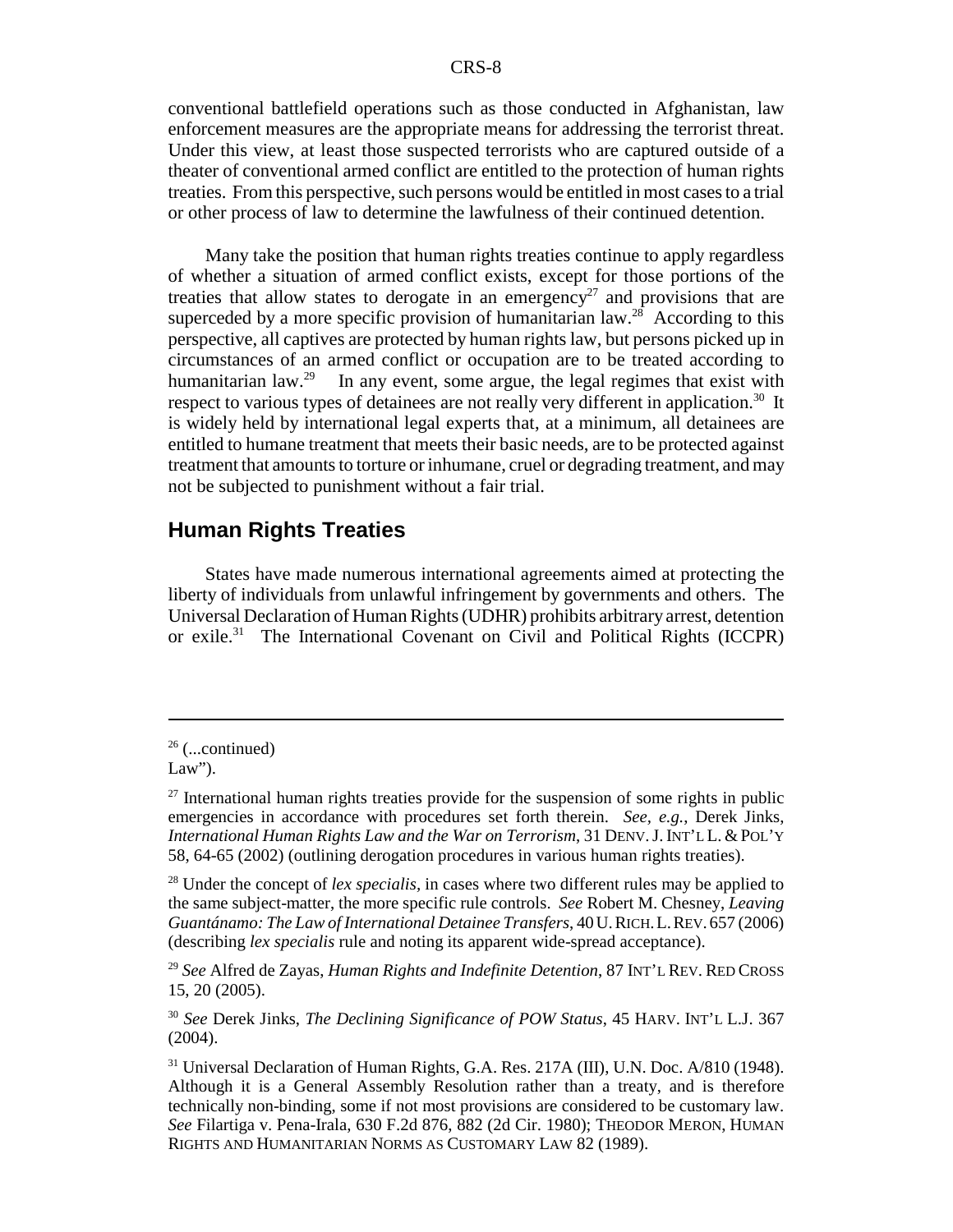conventional battlefield operations such as those conducted in Afghanistan, law enforcement measures are the appropriate means for addressing the terrorist threat. Under this view, at least those suspected terrorists who are captured outside of a theater of conventional armed conflict are entitled to the protection of human rights treaties. From this perspective, such persons would be entitled in most cases to a trial or other process of law to determine the lawfulness of their continued detention.

Many take the position that human rights treaties continue to apply regardless of whether a situation of armed conflict exists, except for those portions of the treaties that allow states to derogate in an emergency<sup>27</sup> and provisions that are superceded by a more specific provision of humanitarian law.<sup>28</sup> According to this perspective, all captives are protected by human rights law, but persons picked up in circumstances of an armed conflict or occupation are to be treated according to humanitarian law.<sup>29</sup> In any event, some argue, the legal regimes that exist with respect to various types of detainees are not really very different in application.<sup>30</sup> It is widely held by international legal experts that, at a minimum, all detainees are entitled to humane treatment that meets their basic needs, are to be protected against treatment that amounts to torture or inhumane, cruel or degrading treatment, and may not be subjected to punishment without a fair trial.

#### **Human Rights Treaties**

States have made numerous international agreements aimed at protecting the liberty of individuals from unlawful infringement by governments and others. The Universal Declaration of Human Rights (UDHR) prohibits arbitrary arrest, detention or exile.<sup>31</sup> The International Covenant on Civil and Political Rights (ICCPR)

<sup>29</sup> *See* Alfred de Zayas, *Human Rights and Indefinite Detention*, 87 INT'L REV. RED CROSS 15, 20 (2005).

<sup>30</sup> *See* Derek Jinks, *The Declining Significance of POW Status*, 45 HARV. INT'L L.J. 367 (2004).

 $26$  (...continued)

Law").

 $27$  International human rights treaties provide for the suspension of some rights in public emergencies in accordance with procedures set forth therein. *See, e.g.*, Derek Jinks, *International Human Rights Law and the War on Terrorism*, 31 DENV.J.INT'L L. & POL'Y 58, 64-65 (2002) (outlining derogation procedures in various human rights treaties).

<sup>28</sup> Under the concept of *lex specialis,* in cases where two different rules may be applied to the same subject-matter, the more specific rule controls. *See* Robert M. Chesney, *Leaving Guantánamo: The Law of International Detainee Transfers*, 40U.RICH.L.REV. 657 (2006) (describing *lex specialis* rule and noting its apparent wide-spread acceptance).

<sup>31</sup> Universal Declaration of Human Rights, G.A. Res. 217A (III), U.N. Doc. A/810 (1948). Although it is a General Assembly Resolution rather than a treaty, and is therefore technically non-binding, some if not most provisions are considered to be customary law. *See* Filartiga v. Pena-Irala, 630 F.2d 876, 882 (2d Cir. 1980); THEODOR MERON, HUMAN RIGHTS AND HUMANITARIAN NORMS AS CUSTOMARY LAW 82 (1989).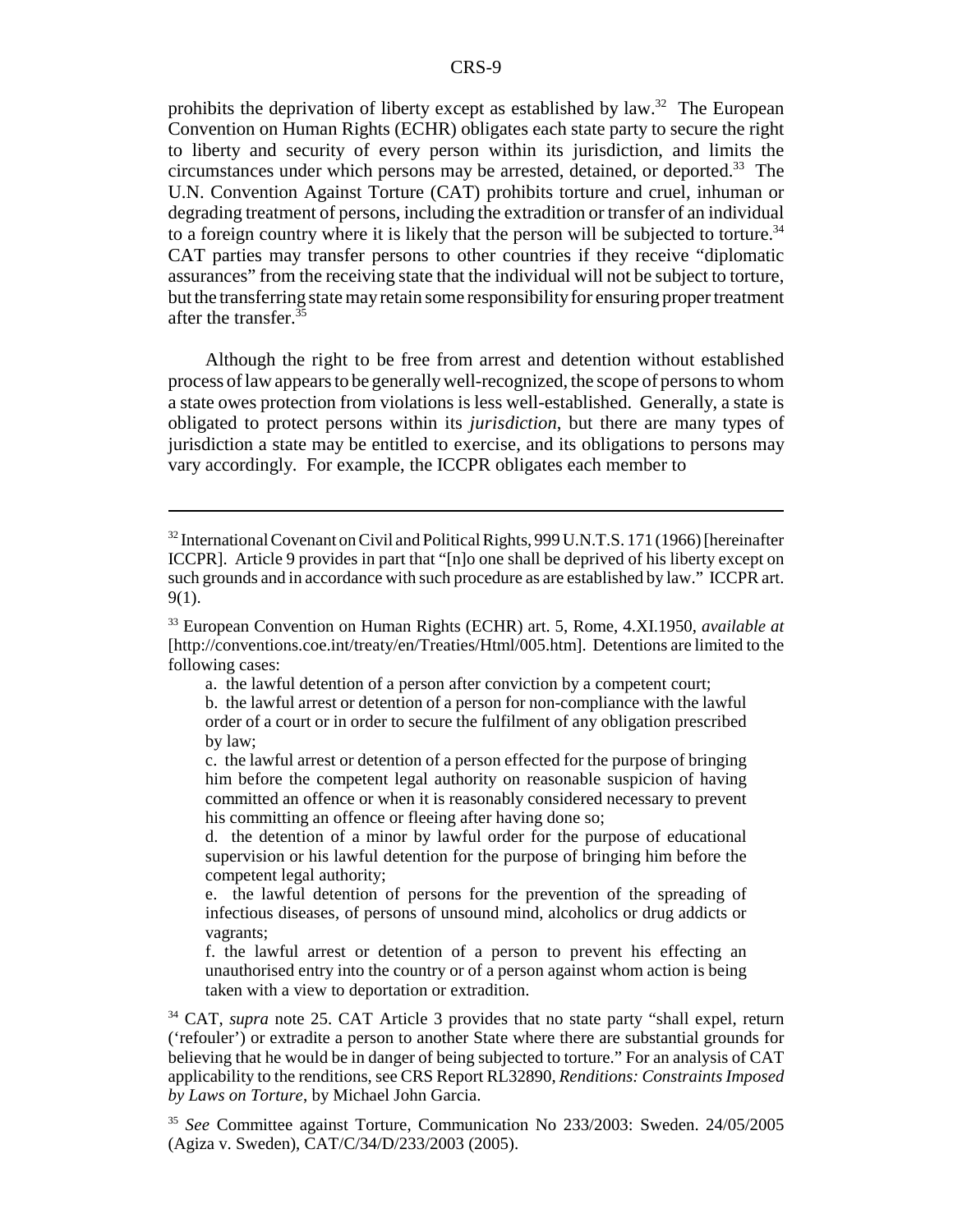prohibits the deprivation of liberty except as established by law.<sup>32</sup> The European Convention on Human Rights (ECHR) obligates each state party to secure the right to liberty and security of every person within its jurisdiction, and limits the circumstances under which persons may be arrested, detained, or deported.<sup>33</sup> The U.N. Convention Against Torture (CAT) prohibits torture and cruel, inhuman or degrading treatment of persons, including the extradition or transfer of an individual to a foreign country where it is likely that the person will be subjected to torture.<sup>34</sup> CAT parties may transfer persons to other countries if they receive "diplomatic assurances" from the receiving state that the individual will not be subject to torture, but the transferring state may retain some responsibility for ensuring proper treatment after the transfer.35

Although the right to be free from arrest and detention without established process of law appears to be generally well-recognized, the scope of persons to whom a state owes protection from violations is less well-established. Generally, a state is obligated to protect persons within its *jurisdiction*, but there are many types of jurisdiction a state may be entitled to exercise, and its obligations to persons may vary accordingly. For example, the ICCPR obligates each member to

a. the lawful detention of a person after conviction by a competent court;

b. the lawful arrest or detention of a person for non-compliance with the lawful order of a court or in order to secure the fulfilment of any obligation prescribed by law;

c. the lawful arrest or detention of a person effected for the purpose of bringing him before the competent legal authority on reasonable suspicion of having committed an offence or when it is reasonably considered necessary to prevent his committing an offence or fleeing after having done so;

d. the detention of a minor by lawful order for the purpose of educational supervision or his lawful detention for the purpose of bringing him before the competent legal authority;

e. the lawful detention of persons for the prevention of the spreading of infectious diseases, of persons of unsound mind, alcoholics or drug addicts or vagrants;

f. the lawful arrest or detention of a person to prevent his effecting an unauthorised entry into the country or of a person against whom action is being taken with a view to deportation or extradition.

34 CAT, *supra* note 25. CAT Article 3 provides that no state party "shall expel, return ('refouler') or extradite a person to another State where there are substantial grounds for believing that he would be in danger of being subjected to torture." For an analysis of CAT applicability to the renditions, see CRS Report RL32890, *Renditions: Constraints Imposed by Laws on Torture*, by Michael John Garcia.

<sup>35</sup> *See* Committee against Torture, Communication No 233/2003: Sweden. 24/05/2005 (Agiza v. Sweden), CAT/C/34/D/233/2003 (2005).

<sup>&</sup>lt;sup>32</sup> International Covenant on Civil and Political Rights, 999 U.N.T.S. 171 (1966) [hereinafter ICCPR]. Article 9 provides in part that "[n]o one shall be deprived of his liberty except on such grounds and in accordance with such procedure as are established by law." ICCPR art. 9(1).

<sup>33</sup> European Convention on Human Rights (ECHR) art. 5, Rome, 4.XI.1950, *available at* [http://conventions.coe.int/treaty/en/Treaties/Html/005.htm]. Detentions are limited to the following cases: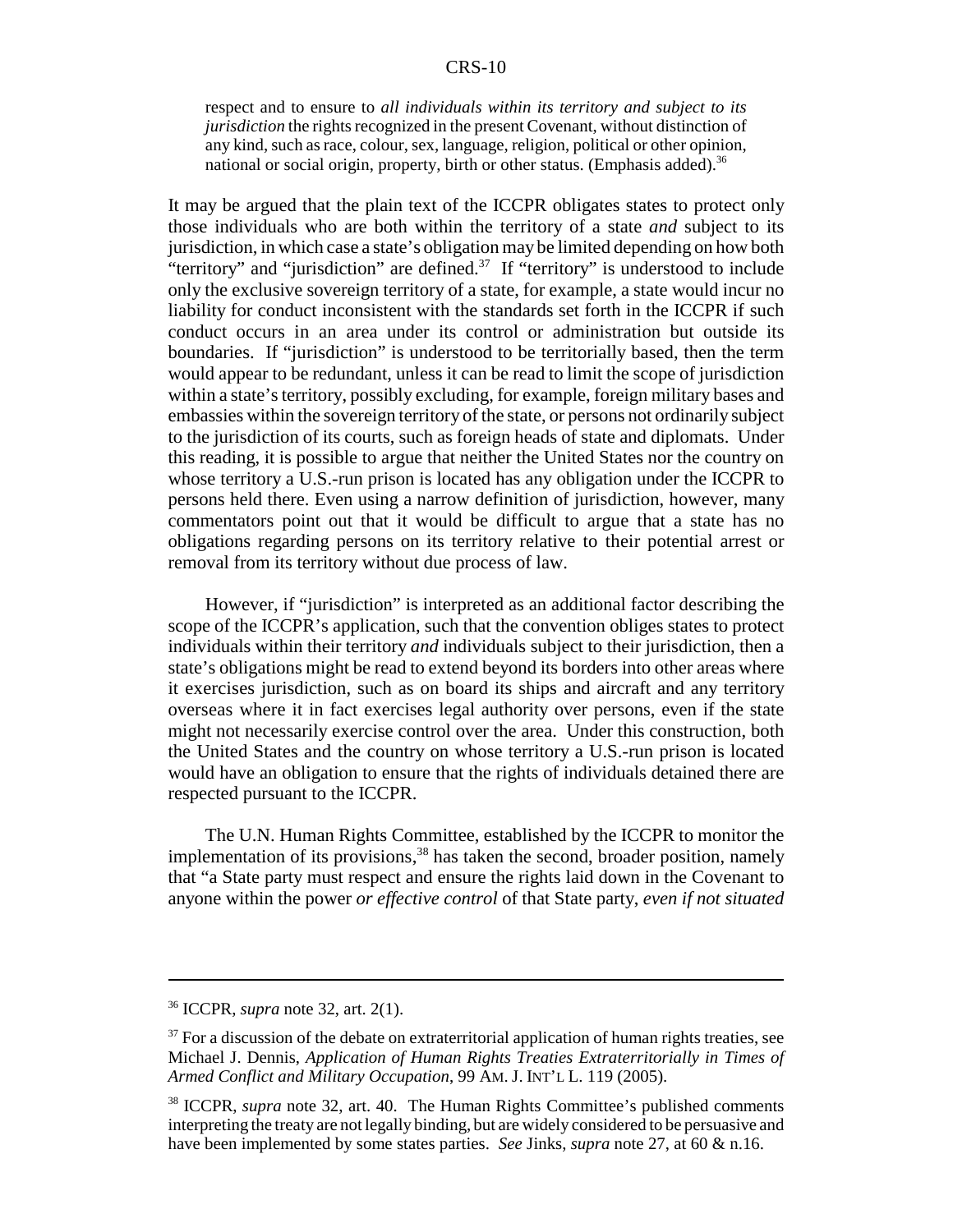respect and to ensure to *all individuals within its territory and subject to its jurisdiction* the rights recognized in the present Covenant, without distinction of any kind, such as race, colour, sex, language, religion, political or other opinion, national or social origin, property, birth or other status. (Emphasis added).<sup>36</sup>

It may be argued that the plain text of the ICCPR obligates states to protect only those individuals who are both within the territory of a state *and* subject to its jurisdiction, in which case a state's obligation may be limited depending on how both "territory" and "jurisdiction" are defined.37 If "territory" is understood to include only the exclusive sovereign territory of a state, for example, a state would incur no liability for conduct inconsistent with the standards set forth in the ICCPR if such conduct occurs in an area under its control or administration but outside its boundaries. If "jurisdiction" is understood to be territorially based, then the term would appear to be redundant, unless it can be read to limit the scope of jurisdiction within a state's territory, possibly excluding, for example, foreign military bases and embassies within the sovereign territory of the state, or persons not ordinarily subject to the jurisdiction of its courts, such as foreign heads of state and diplomats. Under this reading, it is possible to argue that neither the United States nor the country on whose territory a U.S.-run prison is located has any obligation under the ICCPR to persons held there. Even using a narrow definition of jurisdiction, however, many commentators point out that it would be difficult to argue that a state has no obligations regarding persons on its territory relative to their potential arrest or removal from its territory without due process of law.

However, if "jurisdiction" is interpreted as an additional factor describing the scope of the ICCPR's application, such that the convention obliges states to protect individuals within their territory *and* individuals subject to their jurisdiction, then a state's obligations might be read to extend beyond its borders into other areas where it exercises jurisdiction, such as on board its ships and aircraft and any territory overseas where it in fact exercises legal authority over persons, even if the state might not necessarily exercise control over the area. Under this construction, both the United States and the country on whose territory a U.S.-run prison is located would have an obligation to ensure that the rights of individuals detained there are respected pursuant to the ICCPR.

The U.N. Human Rights Committee, established by the ICCPR to monitor the implementation of its provisions,  $38$  has taken the second, broader position, namely that "a State party must respect and ensure the rights laid down in the Covenant to anyone within the power *or effective control* of that State party, *even if not situated*

<sup>36</sup> ICCPR, *supra* note 32, art. 2(1).

 $37$  For a discussion of the debate on extraterritorial application of human rights treaties, see Michael J. Dennis, *Application of Human Rights Treaties Extraterritorially in Times of Armed Conflict and Military Occupation*, 99 AM. J. INT'L L. 119 (2005).

<sup>38</sup> ICCPR, *supra* note 32, art. 40. The Human Rights Committee's published comments interpreting the treaty are not legally binding, but are widely considered to be persuasive and have been implemented by some states parties. *See* Jinks, *supra* note 27, at 60 & n.16.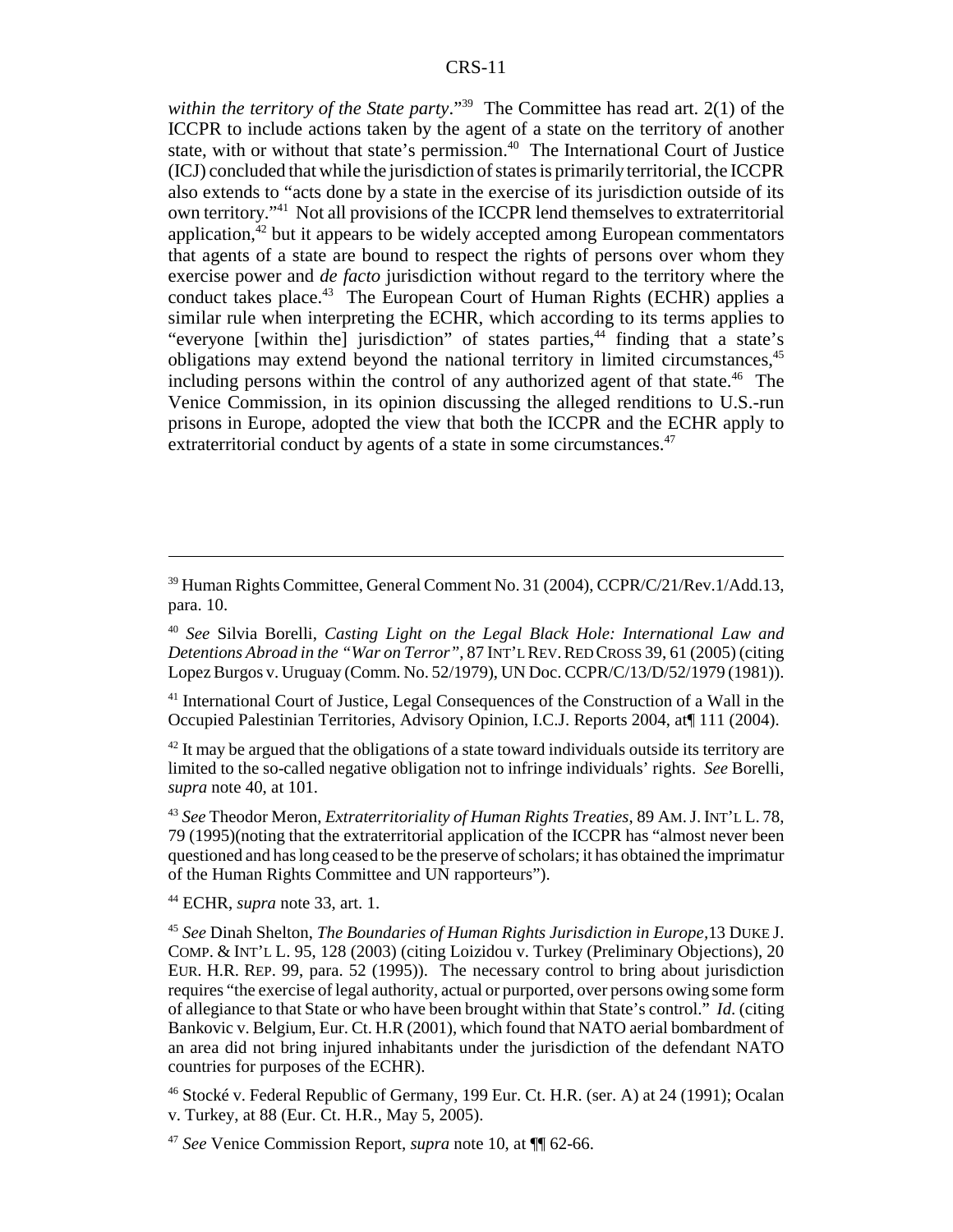*within the territory of the State party*."39 The Committee has read art. 2(1) of the ICCPR to include actions taken by the agent of a state on the territory of another state, with or without that state's permission.<sup>40</sup> The International Court of Justice (ICJ) concluded that while the jurisdiction of states is primarily territorial, the ICCPR also extends to "acts done by a state in the exercise of its jurisdiction outside of its own territory."41 Not all provisions of the ICCPR lend themselves to extraterritorial application, $42$  but it appears to be widely accepted among European commentators that agents of a state are bound to respect the rights of persons over whom they exercise power and *de facto* jurisdiction without regard to the territory where the conduct takes place.<sup>43</sup> The European Court of Human Rights (ECHR) applies a similar rule when interpreting the ECHR, which according to its terms applies to "everyone [within the] jurisdiction" of states parties, $44$  finding that a state's obligations may extend beyond the national territory in limited circumstances,<sup>45</sup> including persons within the control of any authorized agent of that state.<sup>46</sup> The Venice Commission, in its opinion discussing the alleged renditions to U.S.-run prisons in Europe, adopted the view that both the ICCPR and the ECHR apply to extraterritorial conduct by agents of a state in some circumstances.<sup>47</sup>

41 International Court of Justice, Legal Consequences of the Construction of a Wall in the Occupied Palestinian Territories, Advisory Opinion, I.C.J. Reports 2004, at¶ 111 (2004).

 $42$  It may be argued that the obligations of a state toward individuals outside its territory are limited to the so-called negative obligation not to infringe individuals' rights. *See* Borelli, *supra* note 40, at 101.

<sup>43</sup> *See* Theodor Meron, *Extraterritoriality of Human Rights Treaties*, 89 AM.J. INT'L L. 78, 79 (1995)(noting that the extraterritorial application of the ICCPR has "almost never been questioned and has long ceased to be the preserve of scholars; it has obtained the imprimatur of the Human Rights Committee and UN rapporteurs").

44 ECHR, *supra* note 33, art. 1.

<sup>39</sup> Human Rights Committee, General Comment No. 31 (2004), CCPR/C/21/Rev.1/Add.13, para. 10.

<sup>40</sup> *See* Silvia Borelli, *Casting Light on the Legal Black Hole: International Law and Detentions Abroad in the "War on Terror"*, 87 INT'L REV.RED CROSS 39, 61 (2005) (citing Lopez Burgos v. Uruguay (Comm. No. 52/1979), UN Doc. CCPR/C/13/D/52/1979 (1981)).

<sup>45</sup> *See* Dinah Shelton, *The Boundaries of Human Rights Jurisdiction in Europe,*13 DUKE J. COMP. & INT'L L. 95, 128 (2003) (citing Loizidou v. Turkey (Preliminary Objections), 20 EUR. H.R. REP. 99, para. 52 (1995)). The necessary control to bring about jurisdiction requires "the exercise of legal authority, actual or purported, over persons owing some form of allegiance to that State or who have been brought within that State's control." *Id*. (citing Bankovic v. Belgium, Eur. Ct. H.R (2001), which found that NATO aerial bombardment of an area did not bring injured inhabitants under the jurisdiction of the defendant NATO countries for purposes of the ECHR).

<sup>46</sup> Stocké v. Federal Republic of Germany, 199 Eur. Ct. H.R. (ser. A) at 24 (1991); Ocalan v. Turkey, at 88 (Eur. Ct. H.R., May 5, 2005).

<sup>47</sup> *See* Venice Commission Report, *supra* note 10, at ¶¶ 62-66.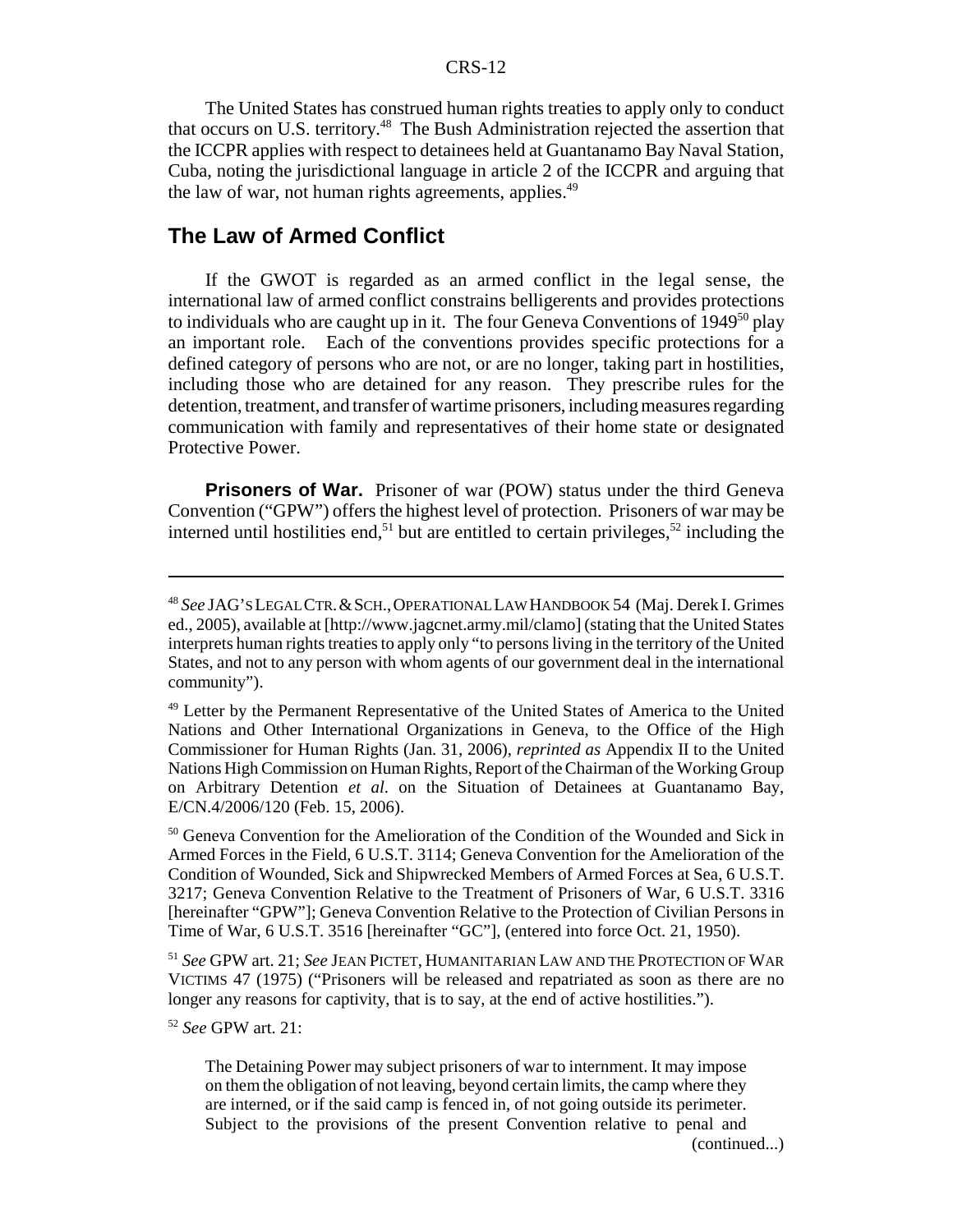The United States has construed human rights treaties to apply only to conduct that occurs on U.S. territory.<sup>48</sup> The Bush Administration rejected the assertion that the ICCPR applies with respect to detainees held at Guantanamo Bay Naval Station, Cuba, noting the jurisdictional language in article 2 of the ICCPR and arguing that the law of war, not human rights agreements, applies.  $49$ 

#### **The Law of Armed Conflict**

If the GWOT is regarded as an armed conflict in the legal sense, the international law of armed conflict constrains belligerents and provides protections to individuals who are caught up in it. The four Geneva Conventions of 1949<sup>50</sup> play an important role. Each of the conventions provides specific protections for a defined category of persons who are not, or are no longer, taking part in hostilities, including those who are detained for any reason. They prescribe rules for the detention, treatment, and transfer of wartime prisoners, including measures regarding communication with family and representatives of their home state or designated Protective Power.

**Prisoners of War.** Prisoner of war (POW) status under the third Geneva Convention ("GPW") offers the highest level of protection. Prisoners of war may be interned until hostilities end,<sup>51</sup> but are entitled to certain privileges,<sup>52</sup> including the

<sup>51</sup> *See* GPW art. 21; *See* JEAN PICTET, HUMANITARIAN LAW AND THE PROTECTION OF WAR VICTIMS 47 (1975) ("Prisoners will be released and repatriated as soon as there are no longer any reasons for captivity, that is to say, at the end of active hostilities.").

<sup>52</sup> *See* GPW art. 21:

(continued...)

<sup>48</sup> *See* JAG'S LEGAL CTR.&SCH.,OPERATIONAL LAW HANDBOOK 54 (Maj. Derek I. Grimes ed., 2005), available at [http://www.jagcnet.army.mil/clamo] (stating that the United States interprets human rights treaties to apply only "to persons living in the territory of the United States, and not to any person with whom agents of our government deal in the international community").

<sup>&</sup>lt;sup>49</sup> Letter by the Permanent Representative of the United States of America to the United Nations and Other International Organizations in Geneva, to the Office of the High Commissioner for Human Rights (Jan. 31, 2006), *reprinted as* Appendix II to the United Nations High Commission on Human Rights, Report of the Chairman of the Working Group on Arbitrary Detention *et al*. on the Situation of Detainees at Guantanamo Bay, E/CN.4/2006/120 (Feb. 15, 2006).

<sup>&</sup>lt;sup>50</sup> Geneva Convention for the Amelioration of the Condition of the Wounded and Sick in Armed Forces in the Field, 6 U.S.T. 3114; Geneva Convention for the Amelioration of the Condition of Wounded, Sick and Shipwrecked Members of Armed Forces at Sea, 6 U.S.T. 3217; Geneva Convention Relative to the Treatment of Prisoners of War, 6 U.S.T. 3316 [hereinafter "GPW"]; Geneva Convention Relative to the Protection of Civilian Persons in Time of War, 6 U.S.T. 3516 [hereinafter "GC"], (entered into force Oct. 21, 1950).

The Detaining Power may subject prisoners of war to internment. It may impose on them the obligation of not leaving, beyond certain limits, the camp where they are interned, or if the said camp is fenced in, of not going outside its perimeter. Subject to the provisions of the present Convention relative to penal and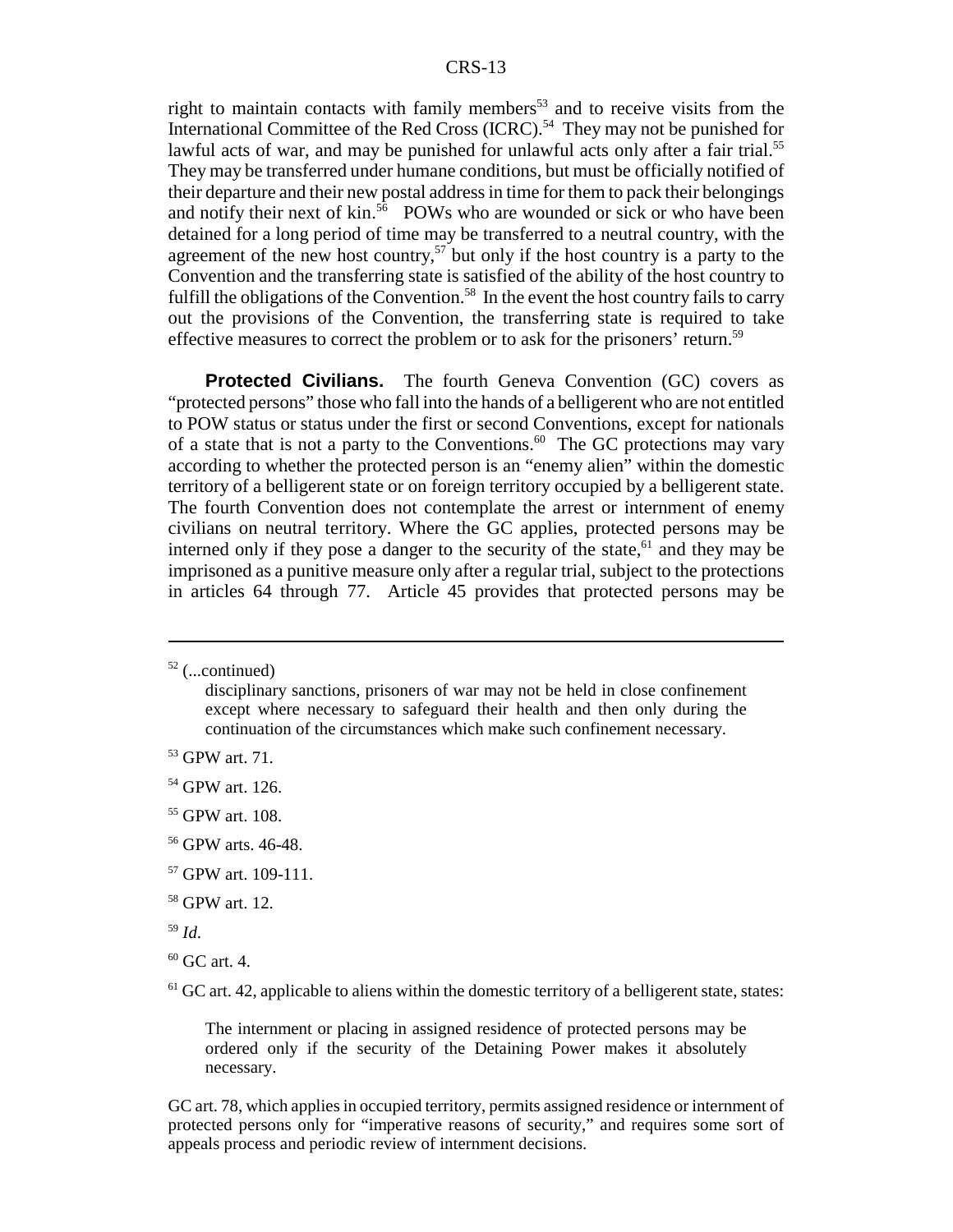right to maintain contacts with family members<sup>53</sup> and to receive visits from the International Committee of the Red Cross (ICRC).<sup>54</sup> They may not be punished for lawful acts of war, and may be punished for unlawful acts only after a fair trial.<sup>55</sup> They may be transferred under humane conditions, but must be officially notified of their departure and their new postal address in time for them to pack their belongings and notify their next of kin.<sup>56</sup> POWs who are wounded or sick or who have been detained for a long period of time may be transferred to a neutral country, with the agreement of the new host country,<sup>57</sup> but only if the host country is a party to the Convention and the transferring state is satisfied of the ability of the host country to fulfill the obligations of the Convention.<sup>58</sup> In the event the host country fails to carry out the provisions of the Convention, the transferring state is required to take effective measures to correct the problem or to ask for the prisoners' return.<sup>59</sup>

**Protected Civilians.** The fourth Geneva Convention (GC) covers as "protected persons" those who fall into the hands of a belligerent who are not entitled to POW status or status under the first or second Conventions, except for nationals of a state that is not a party to the Conventions.<sup>60</sup> The GC protections may vary according to whether the protected person is an "enemy alien" within the domestic territory of a belligerent state or on foreign territory occupied by a belligerent state. The fourth Convention does not contemplate the arrest or internment of enemy civilians on neutral territory. Where the GC applies, protected persons may be interned only if they pose a danger to the security of the state, $61$  and they may be imprisoned as a punitive measure only after a regular trial, subject to the protections in articles 64 through 77. Article 45 provides that protected persons may be

 $52$  (...continued)

<sup>59</sup> *Id*.

 $<sup>61</sup>$  GC art. 42, applicable to aliens within the domestic territory of a belligerent state, states:</sup>

The internment or placing in assigned residence of protected persons may be ordered only if the security of the Detaining Power makes it absolutely necessary.

GC art. 78, which applies in occupied territory, permits assigned residence or internment of protected persons only for "imperative reasons of security," and requires some sort of appeals process and periodic review of internment decisions.

disciplinary sanctions, prisoners of war may not be held in close confinement except where necessary to safeguard their health and then only during the continuation of the circumstances which make such confinement necessary.

<sup>53</sup> GPW art. 71.

<sup>&</sup>lt;sup>54</sup> GPW art. 126.

<sup>55</sup> GPW art. 108.

<sup>56</sup> GPW arts. 46-48.

<sup>57</sup> GPW art. 109-111.

<sup>58</sup> GPW art. 12.

 $60$  GC art. 4.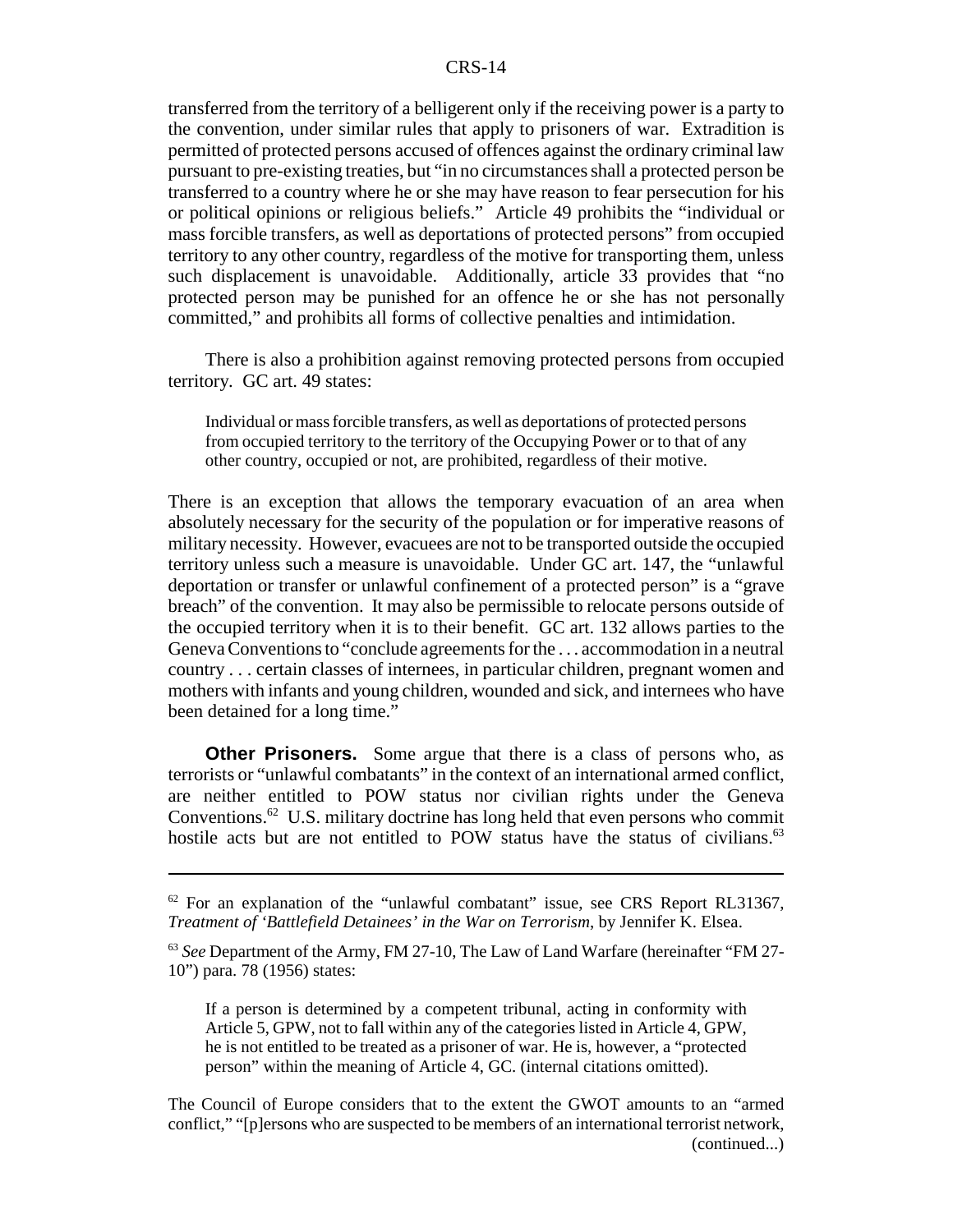transferred from the territory of a belligerent only if the receiving power is a party to the convention, under similar rules that apply to prisoners of war. Extradition is permitted of protected persons accused of offences against the ordinary criminal law pursuant to pre-existing treaties, but "in no circumstances shall a protected person be transferred to a country where he or she may have reason to fear persecution for his or political opinions or religious beliefs." Article 49 prohibits the "individual or mass forcible transfers, as well as deportations of protected persons" from occupied territory to any other country, regardless of the motive for transporting them, unless such displacement is unavoidable. Additionally, article 33 provides that "no protected person may be punished for an offence he or she has not personally committed," and prohibits all forms of collective penalties and intimidation.

There is also a prohibition against removing protected persons from occupied territory. GC art. 49 states:

Individual or mass forcible transfers, as well as deportations of protected persons from occupied territory to the territory of the Occupying Power or to that of any other country, occupied or not, are prohibited, regardless of their motive.

There is an exception that allows the temporary evacuation of an area when absolutely necessary for the security of the population or for imperative reasons of military necessity. However, evacuees are not to be transported outside the occupied territory unless such a measure is unavoidable. Under GC art. 147, the "unlawful deportation or transfer or unlawful confinement of a protected person" is a "grave breach" of the convention. It may also be permissible to relocate persons outside of the occupied territory when it is to their benefit. GC art. 132 allows parties to the Geneva Conventions to "conclude agreements for the . . . accommodation in a neutral country . . . certain classes of internees, in particular children, pregnant women and mothers with infants and young children, wounded and sick, and internees who have been detained for a long time."

**Other Prisoners.** Some argue that there is a class of persons who, as terrorists or "unlawful combatants" in the context of an international armed conflict, are neither entitled to POW status nor civilian rights under the Geneva Conventions.<sup>62</sup> U.S. military doctrine has long held that even persons who commit hostile acts but are not entitled to POW status have the status of civilians. $63$ 

If a person is determined by a competent tribunal, acting in conformity with Article 5, GPW, not to fall within any of the categories listed in Article 4, GPW, he is not entitled to be treated as a prisoner of war. He is, however, a "protected person" within the meaning of Article 4, GC. (internal citations omitted).

The Council of Europe considers that to the extent the GWOT amounts to an "armed conflict," "[p]ersons who are suspected to be members of an international terrorist network, (continued...)

 $62$  For an explanation of the "unlawful combatant" issue, see CRS Report RL31367, *Treatment of 'Battlefield Detainees' in the War on Terrorism*, by Jennifer K. Elsea.

<sup>63</sup> *See* Department of the Army, FM 27-10, The Law of Land Warfare (hereinafter "FM 27- 10") para. 78 (1956) states: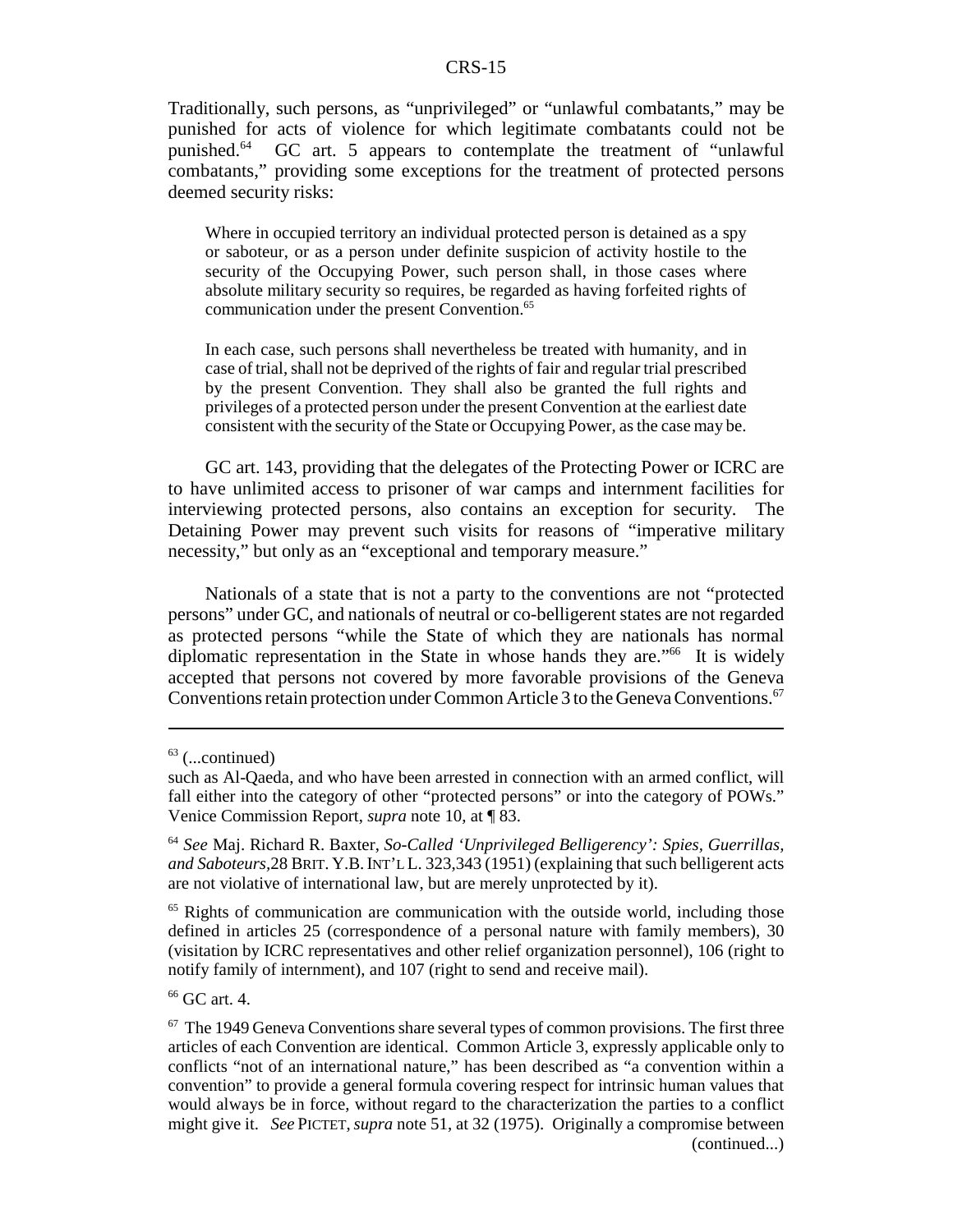Traditionally, such persons, as "unprivileged" or "unlawful combatants," may be punished for acts of violence for which legitimate combatants could not be punished.64 GC art. 5 appears to contemplate the treatment of "unlawful combatants," providing some exceptions for the treatment of protected persons deemed security risks:

Where in occupied territory an individual protected person is detained as a spy or saboteur, or as a person under definite suspicion of activity hostile to the security of the Occupying Power, such person shall, in those cases where absolute military security so requires, be regarded as having forfeited rights of communication under the present Convention.<sup>65</sup>

In each case, such persons shall nevertheless be treated with humanity, and in case of trial, shall not be deprived of the rights of fair and regular trial prescribed by the present Convention. They shall also be granted the full rights and privileges of a protected person under the present Convention at the earliest date consistent with the security of the State or Occupying Power, as the case may be.

GC art. 143, providing that the delegates of the Protecting Power or ICRC are to have unlimited access to prisoner of war camps and internment facilities for interviewing protected persons, also contains an exception for security. The Detaining Power may prevent such visits for reasons of "imperative military necessity," but only as an "exceptional and temporary measure."

Nationals of a state that is not a party to the conventions are not "protected persons" under GC, and nationals of neutral or co-belligerent states are not regarded as protected persons "while the State of which they are nationals has normal diplomatic representation in the State in whose hands they are."<sup>66</sup> It is widely accepted that persons not covered by more favorable provisions of the Geneva Conventions retain protection under Common Article 3 to the Geneva Conventions.<sup>67</sup>

 $<sup>65</sup>$  Rights of communication are communication with the outside world, including those</sup> defined in articles 25 (correspondence of a personal nature with family members), 30 (visitation by ICRC representatives and other relief organization personnel), 106 (right to notify family of internment), and 107 (right to send and receive mail).

66 GC art. 4.

 $63$  (...continued)

such as Al-Qaeda, and who have been arrested in connection with an armed conflict, will fall either into the category of other "protected persons" or into the category of POWs." Venice Commission Report, *supra* note 10, at ¶ 83.

<sup>64</sup> *See* Maj. Richard R. Baxter, *So-Called 'Unprivileged Belligerency': Spies, Guerrillas, and Saboteurs,*28 BRIT. Y.B.INT'L L. 323,343 (1951) (explaining that such belligerent acts are not violative of international law, but are merely unprotected by it).

 $67$  The 1949 Geneva Conventions share several types of common provisions. The first three articles of each Convention are identical. Common Article 3, expressly applicable only to conflicts "not of an international nature," has been described as "a convention within a convention" to provide a general formula covering respect for intrinsic human values that would always be in force, without regard to the characterization the parties to a conflict might give it. *See* PICTET,*supra* note 51, at 32 (1975). Originally a compromise between (continued...)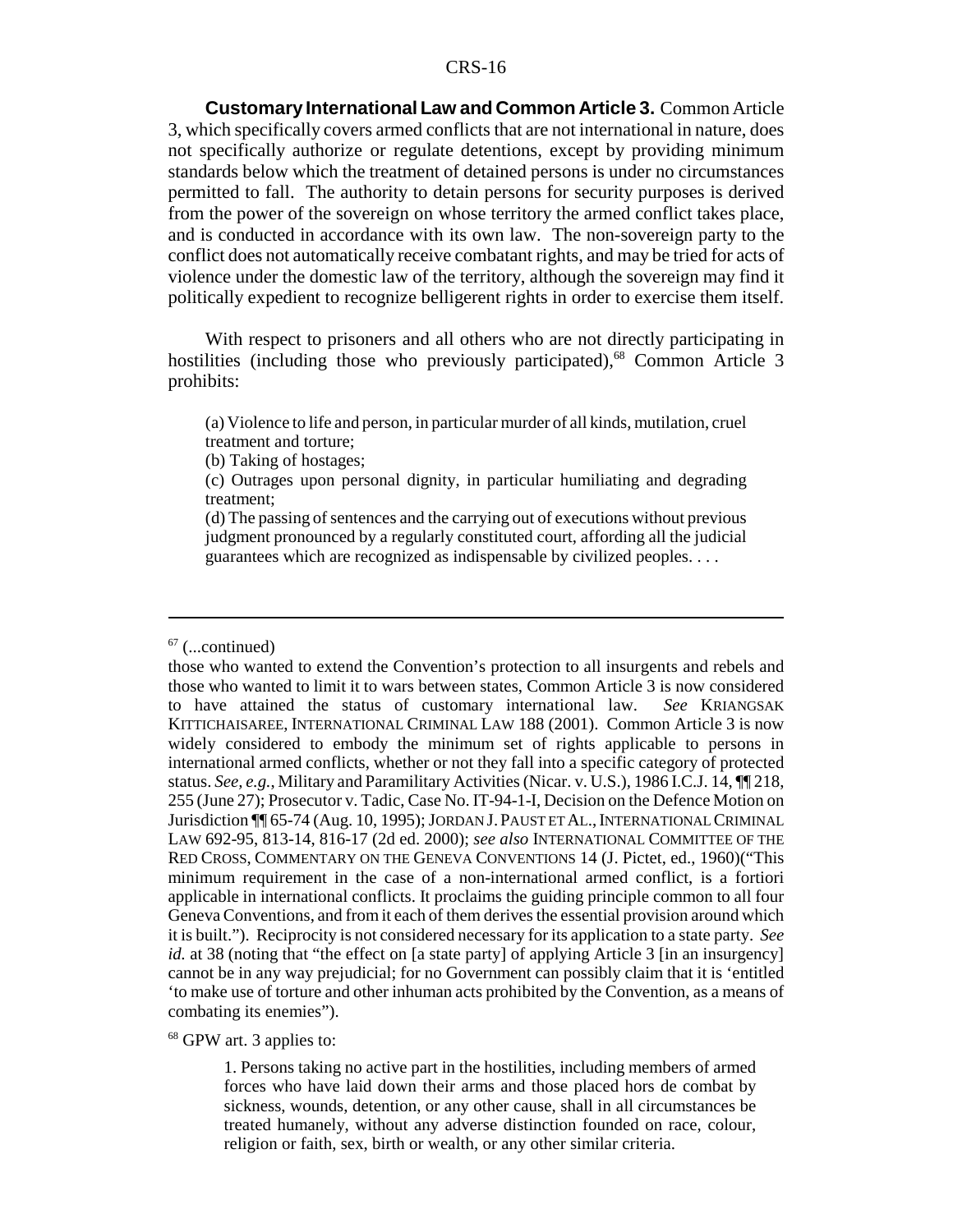**Customary International Law and Common Article 3.** Common Article 3, which specifically covers armed conflicts that are not international in nature, does not specifically authorize or regulate detentions, except by providing minimum standards below which the treatment of detained persons is under no circumstances permitted to fall. The authority to detain persons for security purposes is derived from the power of the sovereign on whose territory the armed conflict takes place, and is conducted in accordance with its own law. The non-sovereign party to the conflict does not automatically receive combatant rights, and may be tried for acts of violence under the domestic law of the territory, although the sovereign may find it politically expedient to recognize belligerent rights in order to exercise them itself.

With respect to prisoners and all others who are not directly participating in hostilities (including those who previously participated),<sup>68</sup> Common Article 3 prohibits:

(a) Violence to life and person, in particular murder of all kinds, mutilation, cruel treatment and torture;

(b) Taking of hostages;

(c) Outrages upon personal dignity, in particular humiliating and degrading treatment;

(d) The passing of sentences and the carrying out of executions without previous judgment pronounced by a regularly constituted court, affording all the judicial guarantees which are recognized as indispensable by civilized peoples. . . .

68 GPW art. 3 applies to:

1. Persons taking no active part in the hostilities, including members of armed forces who have laid down their arms and those placed hors de combat by sickness, wounds, detention, or any other cause, shall in all circumstances be treated humanely, without any adverse distinction founded on race, colour, religion or faith, sex, birth or wealth, or any other similar criteria.

 $67$  (...continued)

those who wanted to extend the Convention's protection to all insurgents and rebels and those who wanted to limit it to wars between states, Common Article 3 is now considered to have attained the status of customary international law. *See* KRIANGSAK KITTICHAISAREE, INTERNATIONAL CRIMINAL LAW 188 (2001). Common Article 3 is now widely considered to embody the minimum set of rights applicable to persons in international armed conflicts, whether or not they fall into a specific category of protected status. *See, e.g.*, Military and Paramilitary Activities (Nicar. v. U.S.), 1986 I.C.J. 14, ¶¶ 218, 255 (June 27); Prosecutor v. Tadic, Case No. IT-94-1-I, Decision on the Defence Motion on Jurisdiction ¶¶ 65-74 (Aug. 10, 1995); JORDAN J. PAUST ET AL., INTERNATIONAL CRIMINAL LAW 692-95, 813-14, 816-17 (2d ed. 2000); *see also* INTERNATIONAL COMMITTEE OF THE RED CROSS, COMMENTARY ON THE GENEVA CONVENTIONS 14 (J. Pictet, ed., 1960)("This minimum requirement in the case of a non-international armed conflict, is a fortiori applicable in international conflicts. It proclaims the guiding principle common to all four Geneva Conventions, and from it each of them derives the essential provision around which it is built."). Reciprocity is not considered necessary for its application to a state party. *See id.* at 38 (noting that "the effect on [a state party] of applying Article 3 [in an insurgency] cannot be in any way prejudicial; for no Government can possibly claim that it is 'entitled 'to make use of torture and other inhuman acts prohibited by the Convention, as a means of combating its enemies").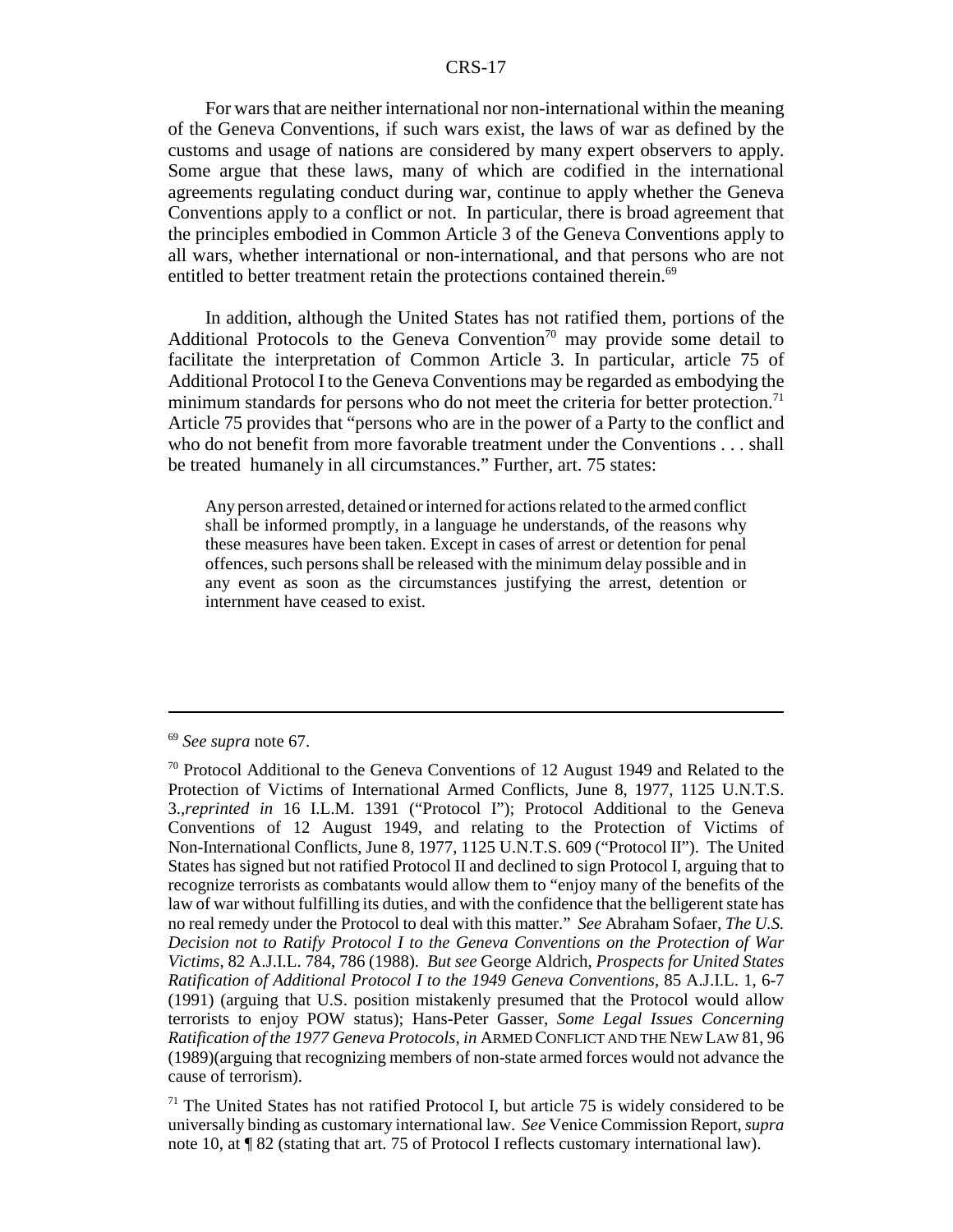For wars that are neither international nor non-international within the meaning of the Geneva Conventions, if such wars exist, the laws of war as defined by the customs and usage of nations are considered by many expert observers to apply. Some argue that these laws, many of which are codified in the international agreements regulating conduct during war, continue to apply whether the Geneva Conventions apply to a conflict or not. In particular, there is broad agreement that the principles embodied in Common Article 3 of the Geneva Conventions apply to all wars, whether international or non-international, and that persons who are not entitled to better treatment retain the protections contained therein.<sup>69</sup>

In addition, although the United States has not ratified them, portions of the Additional Protocols to the Geneva Convention<sup>70</sup> may provide some detail to facilitate the interpretation of Common Article 3. In particular, article 75 of Additional Protocol I to the Geneva Conventions may be regarded as embodying the minimum standards for persons who do not meet the criteria for better protection.<sup>71</sup> Article 75 provides that "persons who are in the power of a Party to the conflict and who do not benefit from more favorable treatment under the Conventions . . . shall be treated humanely in all circumstances." Further, art. 75 states:

Any person arrested, detained or interned for actions related to the armed conflict shall be informed promptly, in a language he understands, of the reasons why these measures have been taken. Except in cases of arrest or detention for penal offences, such persons shall be released with the minimum delay possible and in any event as soon as the circumstances justifying the arrest, detention or internment have ceased to exist.

<sup>69</sup> *See supra* note 67.

<sup>70</sup> Protocol Additional to the Geneva Conventions of 12 August 1949 and Related to the Protection of Victims of International Armed Conflicts, June 8, 1977, 1125 U.N.T.S. 3.*,reprinted in* 16 I.L.M. 1391 ("Protocol I"); Protocol Additional to the Geneva Conventions of 12 August 1949, and relating to the Protection of Victims of Non-International Conflicts, June 8, 1977, 1125 U.N.T.S. 609 ("Protocol II"). The United States has signed but not ratified Protocol II and declined to sign Protocol I, arguing that to recognize terrorists as combatants would allow them to "enjoy many of the benefits of the law of war without fulfilling its duties, and with the confidence that the belligerent state has no real remedy under the Protocol to deal with this matter." *See* Abraham Sofaer, *The U.S. Decision not to Ratify Protocol I to the Geneva Conventions on the Protection of War Victims*, 82 A.J.I.L. 784, 786 (1988). *But see* George Aldrich, *Prospects for United States Ratification of Additional Protocol I to the 1949 Geneva Conventions*, 85 A.J.I.L. 1, 6-7 (1991) (arguing that U.S. position mistakenly presumed that the Protocol would allow terrorists to enjoy POW status); Hans-Peter Gasser, *Some Legal Issues Concerning Ratification of the 1977 Geneva Protocols*, *in* ARMED CONFLICT AND THE NEW LAW 81, 96 (1989)(arguing that recognizing members of non-state armed forces would not advance the cause of terrorism).

 $71$  The United States has not ratified Protocol I, but article 75 is widely considered to be universally binding as customary international law. *See* Venice Commission Report, *supra* note 10, at  $\P$  82 (stating that art. 75 of Protocol I reflects customary international law).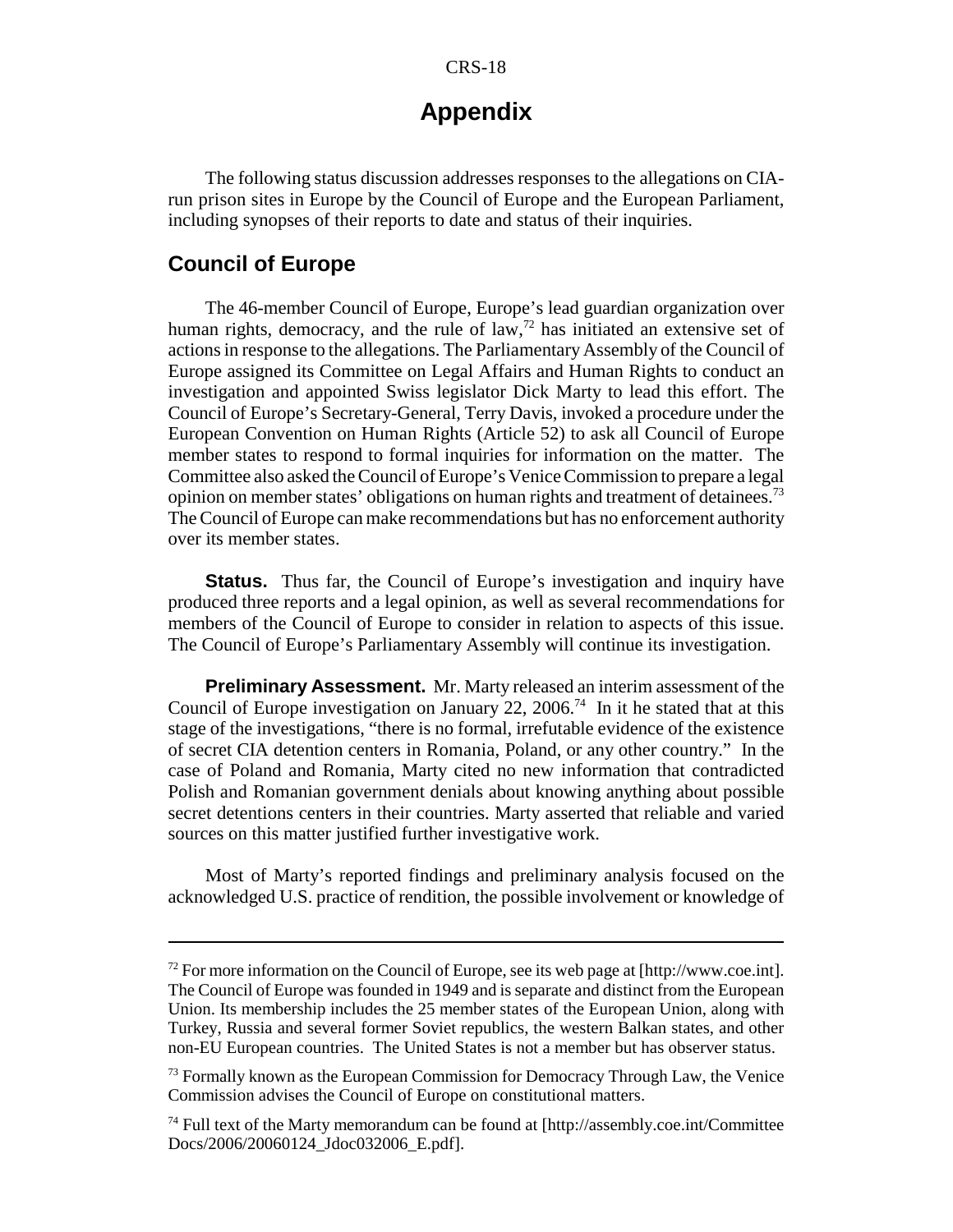## **Appendix**

The following status discussion addresses responses to the allegations on CIArun prison sites in Europe by the Council of Europe and the European Parliament, including synopses of their reports to date and status of their inquiries.

#### **Council of Europe**

The 46-member Council of Europe, Europe's lead guardian organization over human rights, democracy, and the rule of  $law$ ,<sup>72</sup> has initiated an extensive set of actions in response to the allegations. The Parliamentary Assembly of the Council of Europe assigned its Committee on Legal Affairs and Human Rights to conduct an investigation and appointed Swiss legislator Dick Marty to lead this effort. The Council of Europe's Secretary-General, Terry Davis, invoked a procedure under the European Convention on Human Rights (Article 52) to ask all Council of Europe member states to respond to formal inquiries for information on the matter. The Committee also asked the Council of Europe's Venice Commission to prepare a legal opinion on member states' obligations on human rights and treatment of detainees.<sup>73</sup> The Council of Europe can make recommendations but has no enforcement authority over its member states.

**Status.** Thus far, the Council of Europe's investigation and inquiry have produced three reports and a legal opinion, as well as several recommendations for members of the Council of Europe to consider in relation to aspects of this issue. The Council of Europe's Parliamentary Assembly will continue its investigation.

**Preliminary Assessment.** Mr. Marty released an interim assessment of the Council of Europe investigation on January 22, 2006.<sup>74</sup> In it he stated that at this stage of the investigations, "there is no formal, irrefutable evidence of the existence of secret CIA detention centers in Romania, Poland, or any other country." In the case of Poland and Romania, Marty cited no new information that contradicted Polish and Romanian government denials about knowing anything about possible secret detentions centers in their countries. Marty asserted that reliable and varied sources on this matter justified further investigative work.

Most of Marty's reported findings and preliminary analysis focused on the acknowledged U.S. practice of rendition, the possible involvement or knowledge of

 $^{72}$  For more information on the Council of Europe, see its web page at [http://www.coe.int]. The Council of Europe was founded in 1949 and is separate and distinct from the European Union. Its membership includes the 25 member states of the European Union, along with Turkey, Russia and several former Soviet republics, the western Balkan states, and other non-EU European countries. The United States is not a member but has observer status.

<sup>&</sup>lt;sup>73</sup> Formally known as the European Commission for Democracy Through Law, the Venice Commission advises the Council of Europe on constitutional matters.

 $74$  Full text of the Marty memorandum can be found at [http://assembly.coe.int/Committee Docs/2006/20060124\_Jdoc032006\_E.pdf].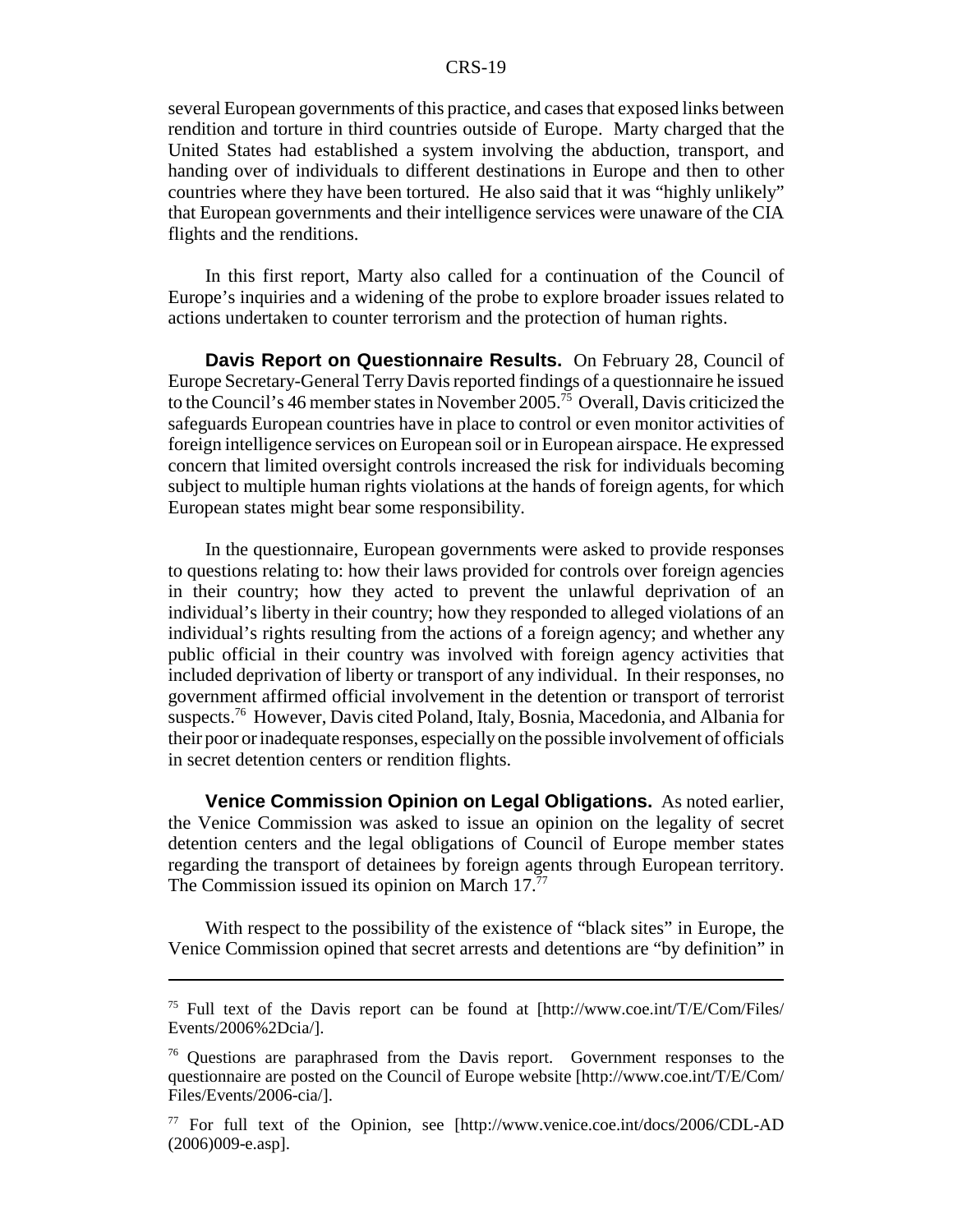several European governments of this practice, and cases that exposed links between rendition and torture in third countries outside of Europe. Marty charged that the United States had established a system involving the abduction, transport, and handing over of individuals to different destinations in Europe and then to other countries where they have been tortured. He also said that it was "highly unlikely" that European governments and their intelligence services were unaware of the CIA flights and the renditions.

In this first report, Marty also called for a continuation of the Council of Europe's inquiries and a widening of the probe to explore broader issues related to actions undertaken to counter terrorism and the protection of human rights.

**Davis Report on Questionnaire Results.** On February 28, Council of Europe Secretary-General Terry Davis reported findings of a questionnaire he issued to the Council's 46 member states in November 2005.<sup>75</sup> Overall, Davis criticized the safeguards European countries have in place to control or even monitor activities of foreign intelligence services on European soil or in European airspace. He expressed concern that limited oversight controls increased the risk for individuals becoming subject to multiple human rights violations at the hands of foreign agents, for which European states might bear some responsibility.

In the questionnaire, European governments were asked to provide responses to questions relating to: how their laws provided for controls over foreign agencies in their country; how they acted to prevent the unlawful deprivation of an individual's liberty in their country; how they responded to alleged violations of an individual's rights resulting from the actions of a foreign agency; and whether any public official in their country was involved with foreign agency activities that included deprivation of liberty or transport of any individual. In their responses, no government affirmed official involvement in the detention or transport of terrorist suspects.76 However, Davis cited Poland, Italy, Bosnia, Macedonia, and Albania for their poor or inadequate responses, especially on the possible involvement of officials in secret detention centers or rendition flights.

**Venice Commission Opinion on Legal Obligations.** As noted earlier, the Venice Commission was asked to issue an opinion on the legality of secret detention centers and the legal obligations of Council of Europe member states regarding the transport of detainees by foreign agents through European territory. The Commission issued its opinion on March  $17<sup>77</sup>$ 

With respect to the possibility of the existence of "black sites" in Europe, the Venice Commission opined that secret arrests and detentions are "by definition" in

<sup>75</sup> Full text of the Davis report can be found at [http://www.coe.int/T/E/Com/Files/ Events/2006%2Dcia/].

<sup>76</sup> Questions are paraphrased from the Davis report. Government responses to the questionnaire are posted on the Council of Europe website [http://www.coe.int/T/E/Com/ Files/Events/2006-cia/].

<sup>77</sup> For full text of the Opinion, see [http://www.venice.coe.int/docs/2006/CDL-AD (2006)009-e.asp].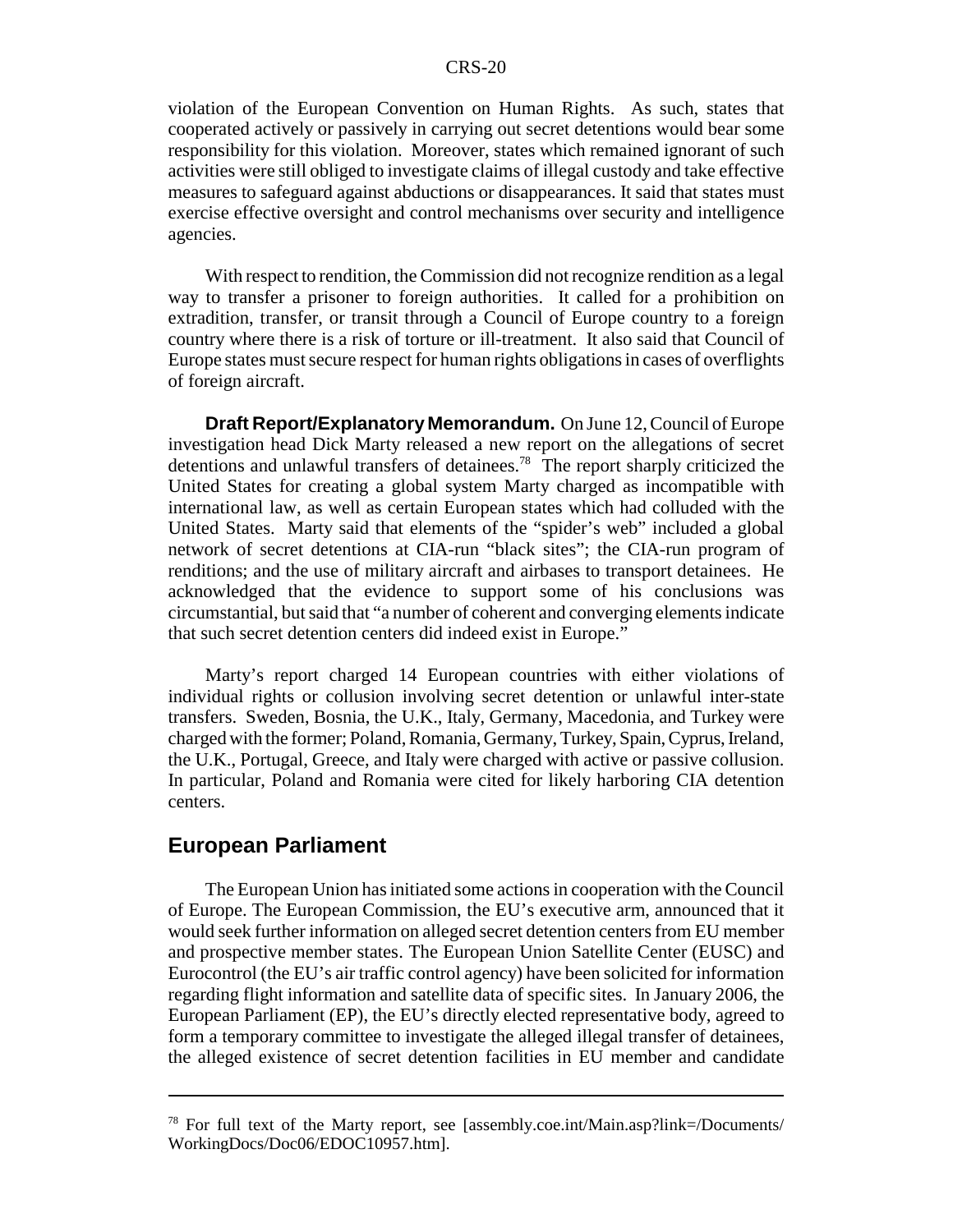violation of the European Convention on Human Rights. As such, states that cooperated actively or passively in carrying out secret detentions would bear some responsibility for this violation. Moreover, states which remained ignorant of such activities were still obliged to investigate claims of illegal custody and take effective measures to safeguard against abductions or disappearances. It said that states must exercise effective oversight and control mechanisms over security and intelligence agencies.

With respect to rendition, the Commission did not recognize rendition as a legal way to transfer a prisoner to foreign authorities. It called for a prohibition on extradition, transfer, or transit through a Council of Europe country to a foreign country where there is a risk of torture or ill-treatment. It also said that Council of Europe states must secure respect for human rights obligations in cases of overflights of foreign aircraft.

**Draft Report/Explanatory Memorandum.** On June 12, Council of Europe investigation head Dick Marty released a new report on the allegations of secret detentions and unlawful transfers of detainees.78 The report sharply criticized the United States for creating a global system Marty charged as incompatible with international law, as well as certain European states which had colluded with the United States. Marty said that elements of the "spider's web" included a global network of secret detentions at CIA-run "black sites"; the CIA-run program of renditions; and the use of military aircraft and airbases to transport detainees. He acknowledged that the evidence to support some of his conclusions was circumstantial, but said that "a number of coherent and converging elements indicate that such secret detention centers did indeed exist in Europe."

Marty's report charged 14 European countries with either violations of individual rights or collusion involving secret detention or unlawful inter-state transfers. Sweden, Bosnia, the U.K., Italy, Germany, Macedonia, and Turkey were charged with the former; Poland, Romania, Germany, Turkey, Spain, Cyprus, Ireland, the U.K., Portugal, Greece, and Italy were charged with active or passive collusion. In particular, Poland and Romania were cited for likely harboring CIA detention centers.

#### **European Parliament**

The European Union has initiated some actions in cooperation with the Council of Europe. The European Commission, the EU's executive arm, announced that it would seek further information on alleged secret detention centers from EU member and prospective member states. The European Union Satellite Center (EUSC) and Eurocontrol (the EU's air traffic control agency) have been solicited for information regarding flight information and satellite data of specific sites. In January 2006, the European Parliament (EP), the EU's directly elected representative body, agreed to form a temporary committee to investigate the alleged illegal transfer of detainees, the alleged existence of secret detention facilities in EU member and candidate

<sup>78</sup> For full text of the Marty report, see [assembly.coe.int/Main.asp?link=/Documents/ WorkingDocs/Doc06/EDOC10957.htm].